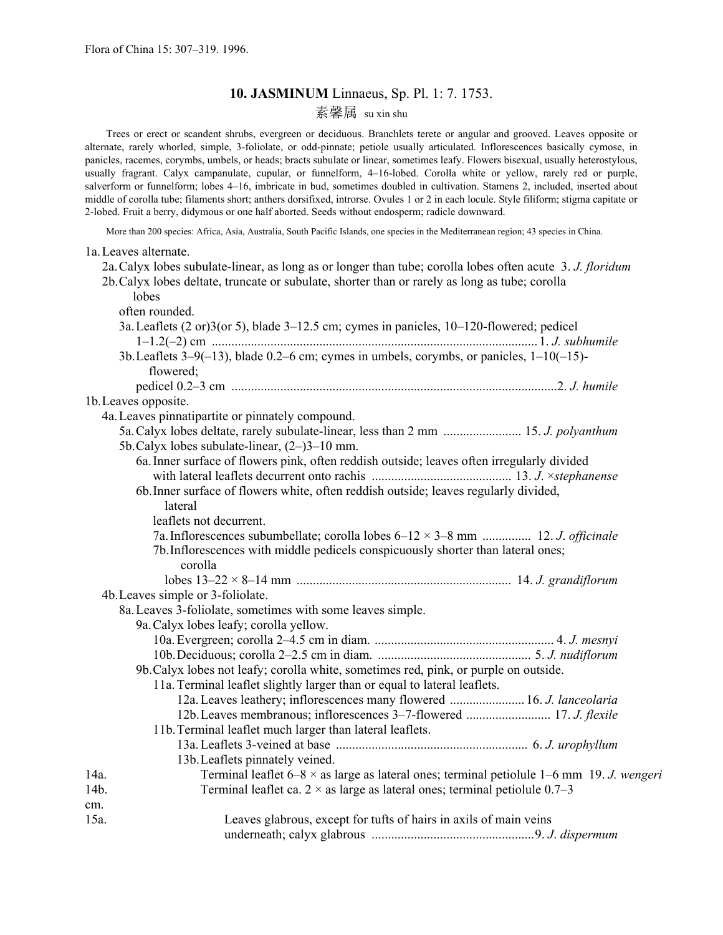# **10. JASMINUM** Linnaeus, Sp. Pl. 1: 7. 1753.

# 素馨属 su xin shu

 Trees or erect or scandent shrubs, evergreen or deciduous. Branchlets terete or angular and grooved. Leaves opposite or alternate, rarely whorled, simple, 3-foliolate, or odd-pinnate; petiole usually articulated. Inflorescences basically cymose, in panicles, racemes, corymbs, umbels, or heads; bracts subulate or linear, sometimes leafy. Flowers bisexual, usually heterostylous, usually fragrant. Calyx campanulate, cupular, or funnelform, 4–16-lobed. Corolla white or yellow, rarely red or purple, salverform or funnelform; lobes 4–16, imbricate in bud, sometimes doubled in cultivation. Stamens 2, included, inserted about middle of corolla tube; filaments short; anthers dorsifixed, introrse. Ovules 1 or 2 in each locule. Style filiform; stigma capitate or 2-lobed. Fruit a berry, didymous or one half aborted. Seeds without endosperm; radicle downward.

More than 200 species: Africa, Asia, Australia, South Pacific Islands, one species in the Mediterranean region; 43 species in China.

|      | 1a. Leaves alternate.                                                                                      |  |
|------|------------------------------------------------------------------------------------------------------------|--|
|      | 2a. Calyx lobes subulate-linear, as long as or longer than tube; corolla lobes often acute 3. J. floridum  |  |
|      | 2b. Calyx lobes deltate, truncate or subulate, shorter than or rarely as long as tube; corolla             |  |
|      | lobes                                                                                                      |  |
|      | often rounded.                                                                                             |  |
|      | 3a. Leaflets $(2 \text{ or } 3)$ (or 5), blade $3-12.5$ cm; cymes in panicles, $10-120$ -flowered; pedicel |  |
|      |                                                                                                            |  |
|      | 3b. Leaflets $3-9(-13)$ , blade 0.2–6 cm; cymes in umbels, corymbs, or panicles, $1-10(-15)$ -             |  |
|      | flowered;                                                                                                  |  |
|      |                                                                                                            |  |
|      | 1b. Leaves opposite.                                                                                       |  |
|      | 4a. Leaves pinnatipartite or pinnately compound.                                                           |  |
|      | 5a. Calyx lobes deltate, rarely subulate-linear, less than 2 mm  15. J. polyanthum                         |  |
|      | 5b. Calyx lobes subulate-linear, $(2-)3-10$ mm.                                                            |  |
|      | 6a. Inner surface of flowers pink, often reddish outside; leaves often irregularly divided                 |  |
|      |                                                                                                            |  |
|      | 6b. Inner surface of flowers white, often reddish outside; leaves regularly divided,                       |  |
|      | lateral                                                                                                    |  |
|      | leaflets not decurrent.                                                                                    |  |
|      | 7a. Inflorescences subumbellate; corolla lobes $6-12 \times 3-8$ mm  12. J. officinale                     |  |
|      | 7b. Inflorescences with middle pedicels conspicuously shorter than lateral ones;                           |  |
|      | corolla                                                                                                    |  |
|      |                                                                                                            |  |
|      | 4b. Leaves simple or 3-foliolate.                                                                          |  |
|      | 8a. Leaves 3-foliolate, sometimes with some leaves simple.                                                 |  |
|      | 9a. Calyx lobes leafy; corolla yellow.                                                                     |  |
|      |                                                                                                            |  |
|      |                                                                                                            |  |
|      | 9b. Calyx lobes not leafy; corolla white, sometimes red, pink, or purple on outside.                       |  |
|      | 11a. Terminal leaflet slightly larger than or equal to lateral leaflets.                                   |  |
|      | 12a. Leaves leathery; inflorescences many flowered  16. J. lanceolaria                                     |  |
|      | 12b. Leaves membranous; inflorescences 3-7-flowered  17. J. flexile                                        |  |
|      | 11b. Terminal leaflet much larger than lateral leaflets.                                                   |  |
|      |                                                                                                            |  |
|      | 13b. Leaflets pinnately veined.                                                                            |  |
| 14a. | Terminal leaflet $6-8 \times$ as large as lateral ones; terminal petiolule 1-6 mm 19. J. wengeri           |  |
| 14b. | Terminal leaflet ca. $2 \times$ as large as lateral ones; terminal petiolule 0.7-3                         |  |
| cm.  |                                                                                                            |  |
| 15a. | Leaves glabrous, except for tufts of hairs in axils of main veins                                          |  |
|      |                                                                                                            |  |
|      |                                                                                                            |  |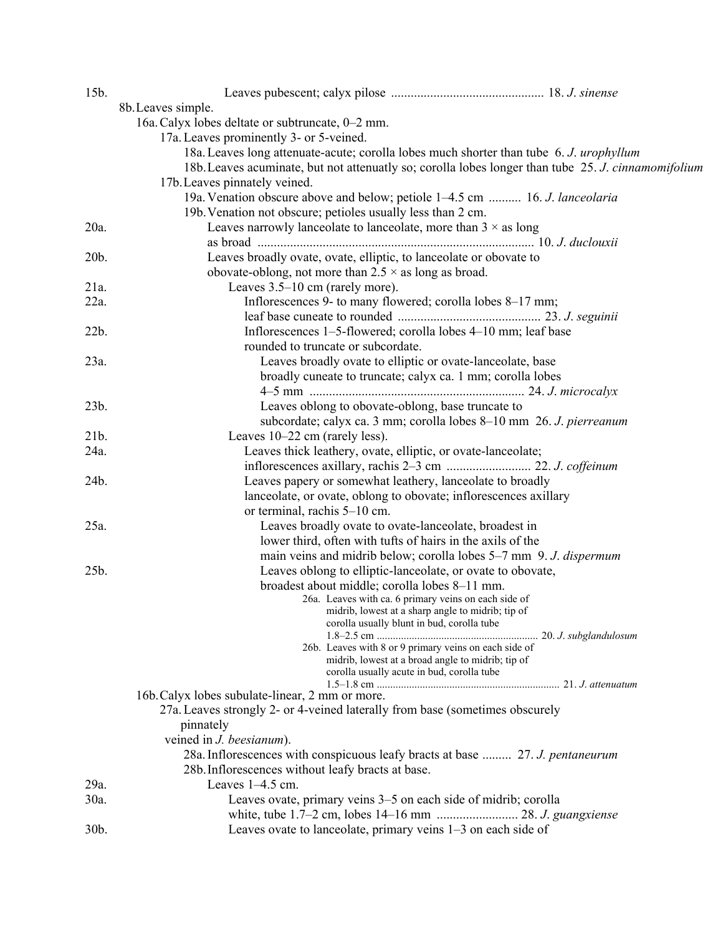| 15b.    |                                                                                                     |  |
|---------|-----------------------------------------------------------------------------------------------------|--|
|         | 8b. Leaves simple.                                                                                  |  |
|         | 16a. Calyx lobes deltate or subtruncate, 0-2 mm.                                                    |  |
|         | 17a. Leaves prominently 3- or 5-veined.                                                             |  |
|         | 18a. Leaves long attenuate-acute; corolla lobes much shorter than tube 6. J. urophyllum             |  |
|         | 18b. Leaves acuminate, but not attenuatly so; corolla lobes longer than tube 25. J. cinnamomifolium |  |
|         | 17b. Leaves pinnately veined.                                                                       |  |
|         | 19a. Venation obscure above and below; petiole 1–4.5 cm  16. J. lanceolaria                         |  |
|         | 19b. Venation not obscure; petioles usually less than 2 cm.                                         |  |
| $20a$ . | Leaves narrowly lanceolate to lanceolate, more than $3 \times$ as long                              |  |
|         |                                                                                                     |  |
| 20b.    | Leaves broadly ovate, ovate, elliptic, to lanceolate or obovate to                                  |  |
|         | obovate-oblong, not more than $2.5 \times$ as long as broad.                                        |  |
| 21a.    | Leaves 3.5–10 cm (rarely more).                                                                     |  |
| $22a$ . | Inflorescences 9- to many flowered; corolla lobes 8-17 mm;                                          |  |
|         |                                                                                                     |  |
| 22b.    | Inflorescences 1-5-flowered; corolla lobes 4-10 mm; leaf base                                       |  |
|         | rounded to truncate or subcordate.                                                                  |  |
| 23a.    | Leaves broadly ovate to elliptic or ovate-lanceolate, base                                          |  |
|         | broadly cuneate to truncate; calyx ca. 1 mm; corolla lobes                                          |  |
|         |                                                                                                     |  |
| 23b.    | Leaves oblong to obovate-oblong, base truncate to                                                   |  |
|         | subcordate; calyx ca. 3 mm; corolla lobes 8-10 mm 26. J. pierreanum                                 |  |
| 21b.    | Leaves 10–22 cm (rarely less).                                                                      |  |
| 24a.    | Leaves thick leathery, ovate, elliptic, or ovate-lanceolate;                                        |  |
|         |                                                                                                     |  |
| 24b.    | Leaves papery or somewhat leathery, lanceolate to broadly                                           |  |
|         | lanceolate, or ovate, oblong to obovate; inflorescences axillary                                    |  |
|         | or terminal, rachis 5-10 cm.                                                                        |  |
| 25a.    | Leaves broadly ovate to ovate-lanceolate, broadest in                                               |  |
|         | lower third, often with tufts of hairs in the axils of the                                          |  |
|         | main veins and midrib below; corolla lobes 5-7 mm 9. J. dispermum                                   |  |
| 25b.    | Leaves oblong to elliptic-lanceolate, or ovate to obovate,                                          |  |
|         | broadest about middle; corolla lobes 8-11 mm.                                                       |  |
|         | 26a. Leaves with ca. 6 primary veins on each side of                                                |  |
|         | midrib, lowest at a sharp angle to midrib; tip of                                                   |  |
|         | corolla usually blunt in bud, corolla tube                                                          |  |
|         | 26b. Leaves with 8 or 9 primary veins on each side of                                               |  |
|         | midrib, lowest at a broad angle to midrib; tip of                                                   |  |
|         | corolla usually acute in bud, corolla tube                                                          |  |
|         |                                                                                                     |  |
|         | 16b. Calyx lobes subulate-linear, 2 mm or more.                                                     |  |
|         | 27a. Leaves strongly 2- or 4-veined laterally from base (sometimes obscurely                        |  |
|         | pinnately                                                                                           |  |
|         | veined in <i>J. beesianum</i> ).                                                                    |  |
|         | 28a. Inflorescences with conspicuous leafy bracts at base  27. J. pentaneurum                       |  |
|         | 28b. Inflorescences without leafy bracts at base.                                                   |  |
| 29a.    | Leaves 1-4.5 cm.                                                                                    |  |
| 30a.    | Leaves ovate, primary veins 3–5 on each side of midrib; corolla                                     |  |
|         |                                                                                                     |  |
| 30b.    | Leaves ovate to lanceolate, primary veins 1–3 on each side of                                       |  |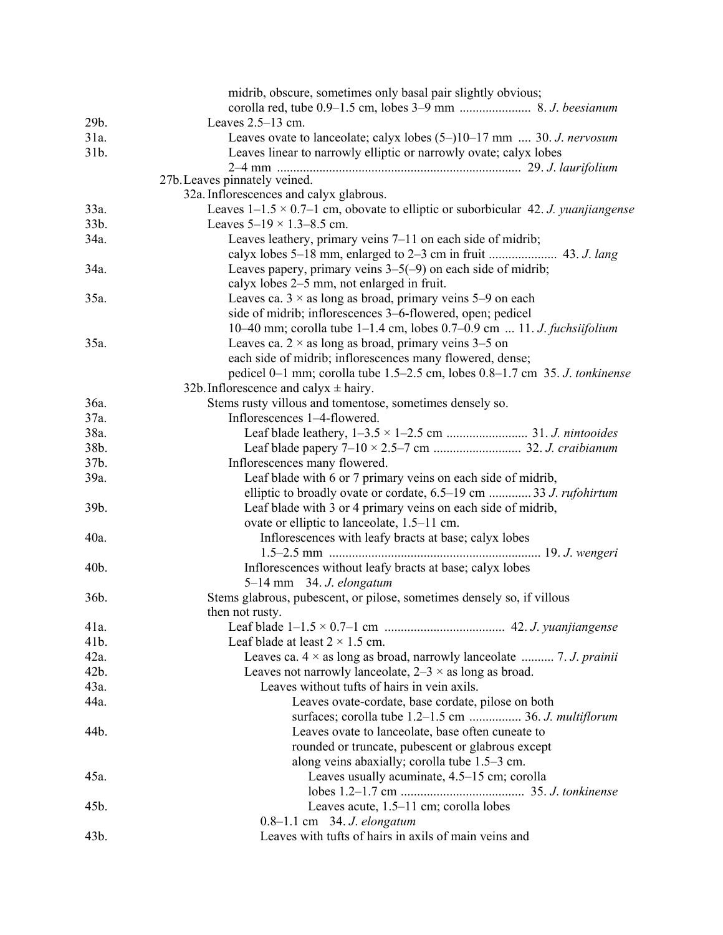|         | midrib, obscure, sometimes only basal pair slightly obvious;                             |
|---------|------------------------------------------------------------------------------------------|
|         |                                                                                          |
| 29b.    | Leaves $2.5-13$ cm.                                                                      |
| 31a.    | Leaves ovate to lanceolate; calyx lobes $(5-)10-17$ mm  30. J. nervosum                  |
| 31b.    | Leaves linear to narrowly elliptic or narrowly ovate; calyx lobes                        |
|         |                                                                                          |
|         | 27b. Leaves pinnately veined.                                                            |
|         | 32a. Inflorescences and calyx glabrous.                                                  |
| 33a.    | Leaves $1-1.5 \times 0.7-1$ cm, obovate to elliptic or suborbicular 42. J. yuanjiangense |
| 33b.    | Leaves $5-19 \times 1.3-8.5$ cm.                                                         |
| 34a.    | Leaves leathery, primary veins 7–11 on each side of midrib;                              |
|         |                                                                                          |
| 34a.    | Leaves papery, primary veins $3-5(-9)$ on each side of midrib;                           |
|         | calyx lobes 2–5 mm, not enlarged in fruit.                                               |
| 35a.    | Leaves ca. $3 \times$ as long as broad, primary veins 5–9 on each                        |
|         | side of midrib; inflorescences 3–6-flowered, open; pedicel                               |
|         | 10–40 mm; corolla tube 1–1.4 cm, lobes $0.7$ –0.9 cm  11. J. fuchsiifolium               |
| 35a.    | Leaves ca. $2 \times$ as long as broad, primary veins 3–5 on                             |
|         | each side of midrib; inflorescences many flowered, dense;                                |
|         | pedicel 0–1 mm; corolla tube 1.5–2.5 cm, lobes 0.8–1.7 cm 35. J. tonkinense              |
|         | 32b. Inflorescence and calyx $\pm$ hairy.                                                |
| 36a.    | Stems rusty villous and tomentose, sometimes densely so.                                 |
| 37a.    | Inflorescences 1-4-flowered.                                                             |
| 38a.    |                                                                                          |
| 38b.    |                                                                                          |
| 37b.    | Inflorescences many flowered.                                                            |
| 39a.    | Leaf blade with 6 or 7 primary veins on each side of midrib,                             |
|         | elliptic to broadly ovate or cordate, 6.5–19 cm  33 J. rufohirtum                        |
| 39b.    | Leaf blade with 3 or 4 primary veins on each side of midrib,                             |
|         | ovate or elliptic to lanceolate, 1.5–11 cm.                                              |
| 40a.    | Inflorescences with leafy bracts at base; calyx lobes                                    |
|         |                                                                                          |
| 40b.    | Inflorescences without leafy bracts at base; calyx lobes                                 |
|         | 5-14 mm 34. J. elongatum                                                                 |
| 36b.    | Stems glabrous, pubescent, or pilose, sometimes densely so, if villous                   |
|         | then not rusty.                                                                          |
| 41a.    |                                                                                          |
| 41b.    | Leaf blade at least $2 \times 1.5$ cm.                                                   |
| $42a$ . | Leaves ca. $4 \times$ as long as broad, narrowly lanceolate  7. J. prainii               |
| 42b.    | Leaves not narrowly lanceolate, $2-3 \times$ as long as broad.                           |
| $43a$ . | Leaves without tufts of hairs in vein axils.                                             |
| 44a.    | Leaves ovate-cordate, base cordate, pilose on both                                       |
|         | surfaces; corolla tube 1.2–1.5 cm  36. J. multiflorum                                    |
| 44b.    | Leaves ovate to lanceolate, base often cuneate to                                        |
|         | rounded or truncate, pubescent or glabrous except                                        |
|         | along veins abaxially; corolla tube 1.5–3 cm.                                            |
| 45a.    | Leaves usually acuminate, 4.5-15 cm; corolla                                             |
|         |                                                                                          |
| 45b.    | Leaves acute, 1.5–11 cm; corolla lobes                                                   |
|         |                                                                                          |
| 43b.    | 0.8-1.1 cm 34. J. elongatum<br>Leaves with tufts of hairs in axils of main veins and     |
|         |                                                                                          |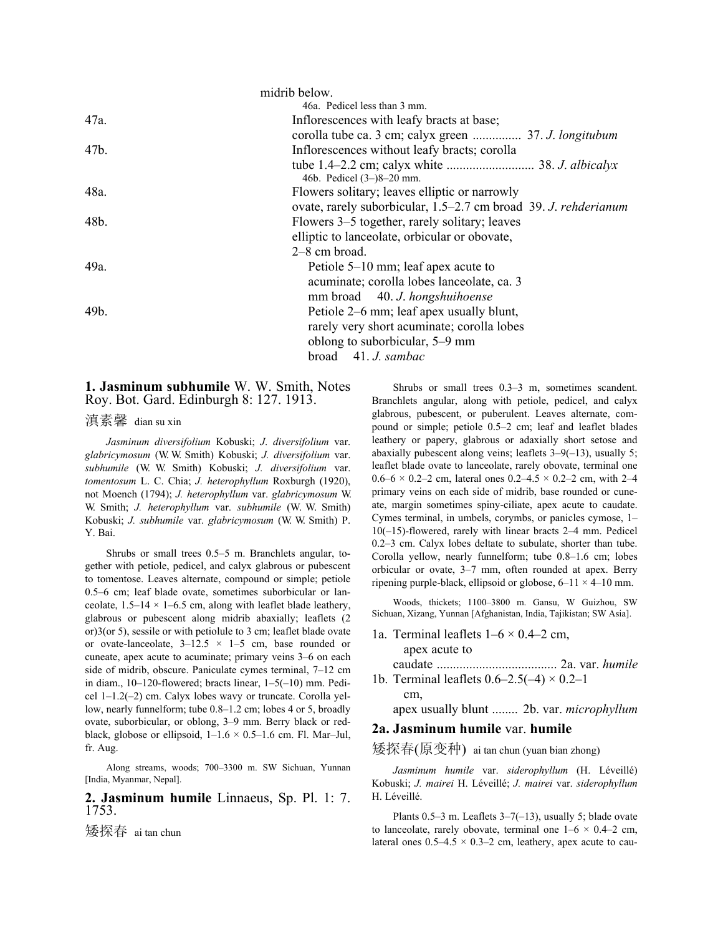|      | midrib below.                                                   |
|------|-----------------------------------------------------------------|
|      | 46a. Pedicel less than 3 mm.                                    |
| 47a. | Inflorescences with leafy bracts at base;                       |
|      | corolla tube ca. 3 cm; calyx green  37. J. longitubum           |
| 47b. | Inflorescences without leafy bracts; corolla                    |
|      | 46b. Pedicel (3–)8–20 mm.                                       |
| 48a. | Flowers solitary; leaves elliptic or narrowly                   |
|      | ovate, rarely suborbicular, 1.5–2.7 cm broad 39. J. rehderianum |
| 48b. | Flowers 3–5 together, rarely solitary; leaves                   |
|      | elliptic to lanceolate, orbicular or obovate,                   |
|      | $2-8$ cm broad.                                                 |
| 49a. | Petiole 5–10 mm; leaf apex acute to                             |
|      | acuminate; corolla lobes lanceolate, ca. 3                      |
|      | mm broad 40. J. hongshuihoense                                  |
| 49b. | Petiole 2–6 mm; leaf apex usually blunt,                        |
|      | rarely very short acuminate; corolla lobes                      |
|      | oblong to suborbicular, 5–9 mm                                  |
|      | broad $41. J. sambac$                                           |
|      |                                                                 |

**1. Jasminum subhumile** W. W. Smith, Notes Roy. Bot. Gard. Edinburgh 8: 127. 1913.

滇素馨 dian su xin

 *Jasminum diversifolium* Kobuski; *J*. *diversifolium* var. *glabricymosum* (W. W. Smith) Kobuski; *J. diversifolium* var. *subhumile* (W. W. Smith) Kobuski; *J. diversifolium* var. *tomentosum* L. C. Chia; *J. heterophyllum* Roxburgh (1920), not Moench (1794); *J. heterophyllum* var. *glabricymosum* W. W. Smith; *J. heterophyllum* var. *subhumile* (W. W. Smith) Kobuski; *J. subhumile* var. *glabricymosum* (W. W. Smith) P. Y. Bai.

 Shrubs or small trees 0.5–5 m. Branchlets angular, together with petiole, pedicel, and calyx glabrous or pubescent to tomentose. Leaves alternate, compound or simple; petiole 0.5–6 cm; leaf blade ovate, sometimes suborbicular or lanceolate,  $1.5-14 \times 1-6.5$  cm, along with leaflet blade leathery, glabrous or pubescent along midrib abaxially; leaflets (2 or)3(or 5), sessile or with petiolule to 3 cm; leaflet blade ovate or ovate-lanceolate,  $3-12.5 \times 1-5$  cm, base rounded or cuneate, apex acute to acuminate; primary veins 3–6 on each side of midrib, obscure. Paniculate cymes terminal, 7–12 cm in diam., 10–120-flowered; bracts linear, 1–5(–10) mm. Pedicel 1–1.2(–2) cm. Calyx lobes wavy or truncate. Corolla yellow, nearly funnelform; tube 0.8–1.2 cm; lobes 4 or 5, broadly ovate, suborbicular, or oblong, 3–9 mm. Berry black or redblack, globose or ellipsoid,  $1-1.6 \times 0.5-1.6$  cm. Fl. Mar-Jul, fr. Aug.

 Along streams, woods; 700–3300 m. SW Sichuan, Yunnan [India, Myanmar, Nepal].

# **2. Jasminum humile** Linnaeus, Sp. Pl. 1: 7. 1753.

矮探春 ai tan chun

 Shrubs or small trees 0.3–3 m, sometimes scandent. Branchlets angular, along with petiole, pedicel, and calyx glabrous, pubescent, or puberulent. Leaves alternate, compound or simple; petiole 0.5–2 cm; leaf and leaflet blades leathery or papery, glabrous or adaxially short setose and abaxially pubescent along veins; leaflets 3–9(–13), usually 5; leaflet blade ovate to lanceolate, rarely obovate, terminal one 0.6–6  $\times$  0.2–2 cm, lateral ones 0.2–4.5  $\times$  0.2–2 cm, with 2–4 primary veins on each side of midrib, base rounded or cuneate, margin sometimes spiny-ciliate, apex acute to caudate. Cymes terminal, in umbels, corymbs, or panicles cymose, 1– 10(–15)-flowered, rarely with linear bracts 2–4 mm. Pedicel 0.2–3 cm. Calyx lobes deltate to subulate, shorter than tube. Corolla yellow, nearly funnelform; tube 0.8–1.6 cm; lobes orbicular or ovate, 3–7 mm, often rounded at apex. Berry ripening purple-black, ellipsoid or globose,  $6-11 \times 4-10$  mm.

 Woods, thickets; 1100–3800 m. Gansu, W Guizhou, SW Sichuan, Xizang, Yunnan [Afghanistan, India, Tajikistan; SW Asia].

1a. Terminal leaflets  $1-6 \times 0.4-2$  cm,

apex acute to

cm,

 caudate ..................................... 2a. var. *humile* 1b. Terminal leaflets  $0.6-2.5(-4) \times 0.2-1$ 

apex usually blunt ........ 2b. var. *microphyllum*

# **2a. Jasminum humile** var. **humile**

矮探春(原变种) ai tan chun (yuan bian zhong)

 *Jasminum humile* var. *siderophyllum* (H. Léveillé) Kobuski; *J. mairei* H. Léveillé; *J. mairei* var. *siderophyllum* H. Léveillé.

Plants  $0.5-3$  m. Leaflets  $3-7(-13)$ , usually 5; blade ovate to lanceolate, rarely obovate, terminal one  $1-6 \times 0.4-2$  cm, lateral ones  $0.5-4.5 \times 0.3-2$  cm, leathery, apex acute to cau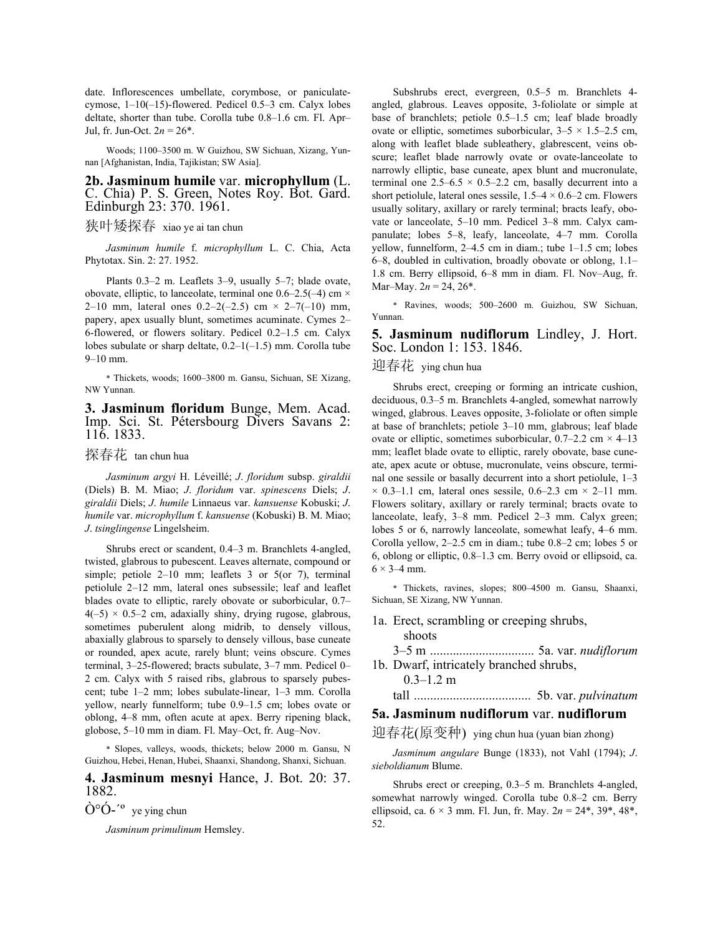date. Inflorescences umbellate, corymbose, or paniculatecymose, 1–10(–15)-flowered. Pedicel 0.5–3 cm. Calyx lobes deltate, shorter than tube. Corolla tube 0.8–1.6 cm. Fl. Apr– Jul, fr. Jun-Oct.  $2n = 26^*$ .

 Woods; 1100–3500 m. W Guizhou, SW Sichuan, Xizang, Yunnan [Afghanistan, India, Tajikistan; SW Asia].

#### **2b. Jasminum humile** var. **microphyllum** (L. C. Chia) P. S. Green, Notes Roy. Bot. Gard. Edinburgh 23: 370. 1961.

# 狭叶矮探春 xiao ye ai tan chun

 *Jasminum humile* f. *microphyllum* L. C. Chia, Acta Phytotax. Sin. 2: 27. 1952.

 Plants 0.3–2 m. Leaflets 3–9, usually 5–7; blade ovate, obovate, elliptic, to lanceolate, terminal one  $0.6-2.5(-4)$  cm  $\times$ 2–10 mm, lateral ones  $0.2-2(-2.5)$  cm  $\times$  2–7(-10) mm, papery, apex usually blunt, sometimes acuminate. Cymes 2– 6-flowered, or flowers solitary. Pedicel 0.2–1.5 cm. Calyx lobes subulate or sharp deltate,  $0.2-1(-1.5)$  mm. Corolla tube 9–10 mm.

\* Thickets, woods; 1600–3800 m. Gansu, Sichuan, SE Xizang, NW Yunnan.

**3. Jasminum floridum** Bunge, Mem. Acad. Imp. Sci. St. Pétersbourg Divers Savans 2: 116. 1833.

探春花 tan chun hua

 *Jasminum argyi* H. Léveillé; *J*. *floridum* subsp. *giraldii* (Diels) B. M. Miao; *J*. *floridum* var. *spinescens* Diels; *J*. *giraldii* Diels; *J*. *humile* Linnaeus var. *kansuense* Kobuski; *J*. *humile* var. *microphyllum* f. *kansuense* (Kobuski) B. M. Miao; *J*. *tsinglingense* Lingelsheim.

 Shrubs erect or scandent, 0.4–3 m. Branchlets 4-angled, twisted, glabrous to pubescent. Leaves alternate, compound or simple; petiole 2–10 mm; leaflets 3 or 5(or 7), terminal petiolule 2–12 mm, lateral ones subsessile; leaf and leaflet blades ovate to elliptic, rarely obovate or suborbicular, 0.7–  $4(-5) \times 0.5-2$  cm, adaxially shiny, drying rugose, glabrous, sometimes puberulent along midrib, to densely villous, abaxially glabrous to sparsely to densely villous, base cuneate or rounded, apex acute, rarely blunt; veins obscure. Cymes terminal, 3–25-flowered; bracts subulate, 3–7 mm. Pedicel 0– 2 cm. Calyx with 5 raised ribs, glabrous to sparsely pubescent; tube 1–2 mm; lobes subulate-linear, 1–3 mm. Corolla yellow, nearly funnelform; tube 0.9–1.5 cm; lobes ovate or oblong, 4–8 mm, often acute at apex. Berry ripening black, globose, 5–10 mm in diam. Fl. May–Oct, fr. Aug–Nov.

\* Slopes, valleys, woods, thickets; below 2000 m. Gansu, N Guizhou, Hebei, Henan, Hubei, Shaanxi, Shandong, Shanxi, Sichuan.

**4. Jasminum mesnyi** Hance, J. Bot. 20: 37. 1882.

 $\dot{O}^{\circ} \dot{O}$ -<sup>'o</sup> ye ying chun

 *Jasminum primulinum* Hemsley.

 Subshrubs erect, evergreen, 0.5–5 m. Branchlets 4 angled, glabrous. Leaves opposite, 3-foliolate or simple at base of branchlets; petiole 0.5–1.5 cm; leaf blade broadly ovate or elliptic, sometimes suborbicular,  $3-5 \times 1.5-2.5$  cm, along with leaflet blade subleathery, glabrescent, veins obscure; leaflet blade narrowly ovate or ovate-lanceolate to narrowly elliptic, base cuneate, apex blunt and mucronulate, terminal one  $2.5-6.5 \times 0.5-2.2$  cm, basally decurrent into a short petiolule, lateral ones sessile,  $1.5-4 \times 0.6-2$  cm. Flowers usually solitary, axillary or rarely terminal; bracts leafy, obovate or lanceolate, 5–10 mm. Pedicel 3–8 mm. Calyx campanulate; lobes 5–8, leafy, lanceolate, 4–7 mm. Corolla yellow, funnelform, 2–4.5 cm in diam.; tube 1–1.5 cm; lobes 6–8, doubled in cultivation, broadly obovate or oblong, 1.1– 1.8 cm. Berry ellipsoid, 6–8 mm in diam. Fl. Nov–Aug, fr. Mar–May.  $2n = 24, 26^*$ .

\* Ravines, woods; 500–2600 m. Guizhou, SW Sichuan, Yunnan.

#### **5. Jasminum nudiflorum** Lindley, J. Hort. Soc. London 1: 153. 1846.

迎春花 ying chun hua

 Shrubs erect, creeping or forming an intricate cushion, deciduous, 0.3–5 m. Branchlets 4-angled, somewhat narrowly winged, glabrous. Leaves opposite, 3-foliolate or often simple at base of branchlets; petiole 3–10 mm, glabrous; leaf blade ovate or elliptic, sometimes suborbicular,  $0.7-2.2$  cm  $\times$  4–13 mm; leaflet blade ovate to elliptic, rarely obovate, base cuneate, apex acute or obtuse, mucronulate, veins obscure, terminal one sessile or basally decurrent into a short petiolule, 1–3  $\times$  0.3–1.1 cm, lateral ones sessile, 0.6–2.3 cm  $\times$  2–11 mm. Flowers solitary, axillary or rarely terminal; bracts ovate to lanceolate, leafy, 3–8 mm. Pedicel 2–3 mm. Calyx green; lobes 5 or 6, narrowly lanceolate, somewhat leafy, 4–6 mm. Corolla yellow, 2–2.5 cm in diam.; tube 0.8–2 cm; lobes 5 or 6, oblong or elliptic, 0.8–1.3 cm. Berry ovoid or ellipsoid, ca.  $6 \times 3 - 4$  mm.

\* Thickets, ravines, slopes; 800–4500 m. Gansu, Shaanxi, Sichuan, SE Xizang, NW Yunnan.

1a. Erect, scrambling or creeping shrubs, shoots

 3–5 m ................................ 5a. var. *nudiflorum* 1b. Dwarf, intricately branched shrubs,

 $0.3 - 1.2$  m

tall .................................... 5b. var. *pulvinatum*

# **5a. Jasminum nudiflorum** var. **nudiflorum**

迎春花(原变种) ying chun hua (yuan bian zhong)

 *Jasminum angulare* Bunge (1833), not Vahl (1794); *J*. *sieboldianum* Blume.

 Shrubs erect or creeping, 0.3–5 m. Branchlets 4-angled, somewhat narrowly winged. Corolla tube 0.8–2 cm. Berry ellipsoid, ca.  $6 \times 3$  mm. Fl. Jun, fr. May.  $2n = 24^*$ ,  $39^*$ ,  $48^*$ , 52.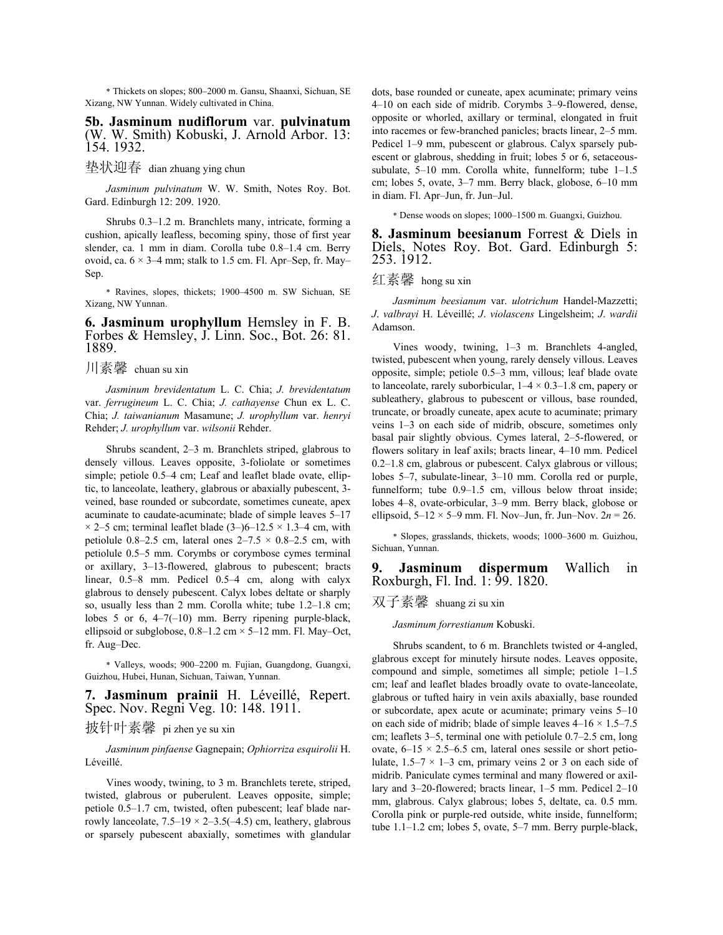\* Thickets on slopes; 800–2000 m. Gansu, Shaanxi, Sichuan, SE Xizang, NW Yunnan. Widely cultivated in China.

**5b. Jasminum nudiflorum** var. **pulvinatum** (W. W. Smith) Kobuski, J. Arnold Arbor. 13: 154. 1932.

垫状迎春 dian zhuang ying chun

 *Jasminum pulvinatum* W. W. Smith, Notes Roy. Bot. Gard. Edinburgh 12: 209. 1920.

 Shrubs 0.3–1.2 m. Branchlets many, intricate, forming a cushion, apically leafless, becoming spiny, those of first year slender, ca. 1 mm in diam. Corolla tube 0.8–1.4 cm. Berry ovoid, ca.  $6 \times 3-4$  mm; stalk to 1.5 cm. Fl. Apr–Sep, fr. May– Sep.

\* Ravines, slopes, thickets; 1900–4500 m. SW Sichuan, SE Xizang, NW Yunnan.

#### **6. Jasminum urophyllum** Hemsley in F. B. Forbes & Hemsley, J. Linn. Soc., Bot. 26: 81. 1889.

川素馨 chuan su xin

*Jasminum brevidentatum* L. C. Chia; *J. brevidentatum* var. *ferrugineum* L. C. Chia; *J. cathayense* Chun ex L. C. Chia; *J. taiwanianum* Masamune; *J. urophyllum* var. *henryi* Rehder; *J. urophyllum* var. *wilsonii* Rehder.

 Shrubs scandent, 2–3 m. Branchlets striped, glabrous to densely villous. Leaves opposite, 3-foliolate or sometimes simple; petiole 0.5–4 cm; Leaf and leaflet blade ovate, elliptic, to lanceolate, leathery, glabrous or abaxially pubescent, 3 veined, base rounded or subcordate, sometimes cuneate, apex acuminate to caudate-acuminate; blade of simple leaves 5–17  $\times$  2–5 cm; terminal leaflet blade (3–)6–12.5  $\times$  1.3–4 cm, with petiolule 0.8–2.5 cm, lateral ones  $2-7.5 \times 0.8$ –2.5 cm, with petiolule 0.5–5 mm. Corymbs or corymbose cymes terminal or axillary, 3–13-flowered, glabrous to pubescent; bracts linear, 0.5–8 mm. Pedicel 0.5–4 cm, along with calyx glabrous to densely pubescent. Calyx lobes deltate or sharply so, usually less than 2 mm. Corolla white; tube 1.2–1.8 cm; lobes 5 or 6, 4–7(–10) mm. Berry ripening purple-black, ellipsoid or subglobose,  $0.8-1.2$  cm  $\times$  5-12 mm. Fl. May–Oct, fr. Aug–Dec.

\* Valleys, woods; 900–2200 m. Fujian, Guangdong, Guangxi, Guizhou, Hubei, Hunan, Sichuan, Taiwan, Yunnan.

### **7. Jasminum prainii** H. Léveillé, Repert. Spec. Nov. Regni Veg. 10: 148. 1911.

# 披针叶素馨 pi zhen ye su xin

 *Jasminum pinfaense* Gagnepain; *Ophiorriza esquirolii* H. Léveillé.

 Vines woody, twining, to 3 m. Branchlets terete, striped, twisted, glabrous or puberulent. Leaves opposite, simple; petiole 0.5–1.7 cm, twisted, often pubescent; leaf blade narrowly lanceolate,  $7.5-19 \times 2-3.5(-4.5)$  cm, leathery, glabrous or sparsely pubescent abaxially, sometimes with glandular dots, base rounded or cuneate, apex acuminate; primary veins 4–10 on each side of midrib. Corymbs 3–9-flowered, dense, opposite or whorled, axillary or terminal, elongated in fruit into racemes or few-branched panicles; bracts linear, 2–5 mm. Pedicel 1–9 mm, pubescent or glabrous. Calyx sparsely pubescent or glabrous, shedding in fruit; lobes 5 or 6, setaceoussubulate, 5–10 mm. Corolla white, funnelform; tube 1–1.5 cm; lobes 5, ovate, 3–7 mm. Berry black, globose, 6–10 mm in diam. Fl. Apr–Jun, fr. Jun–Jul.

\* Dense woods on slopes; 1000–1500 m. Guangxi, Guizhou.

**8. Jasminum beesianum** Forrest & Diels in Diels, Notes Roy. Bot. Gard. Edinburgh 5: 253. 1912.

# 红素馨 hong su xin

 *Jasminum beesianum* var. *ulotrichum* Handel-Mazzetti; *J*. *valbrayi* H. Léveillé; *J*. *violascens* Lingelsheim; *J*. *wardii* Adamson.

 Vines woody, twining, 1–3 m. Branchlets 4-angled, twisted, pubescent when young, rarely densely villous. Leaves opposite, simple; petiole 0.5–3 mm, villous; leaf blade ovate to lanceolate, rarely suborbicular,  $1-4 \times 0.3-1.8$  cm, papery or subleathery, glabrous to pubescent or villous, base rounded, truncate, or broadly cuneate, apex acute to acuminate; primary veins 1–3 on each side of midrib, obscure, sometimes only basal pair slightly obvious. Cymes lateral, 2–5-flowered, or flowers solitary in leaf axils; bracts linear, 4–10 mm. Pedicel 0.2–1.8 cm, glabrous or pubescent. Calyx glabrous or villous; lobes 5–7, subulate-linear, 3–10 mm. Corolla red or purple, funnelform; tube 0.9–1.5 cm, villous below throat inside; lobes 4–8, ovate-orbicular, 3–9 mm. Berry black, globose or ellipsoid,  $5-12 \times 5-9$  mm. Fl. Nov–Jun, fr. Jun–Nov.  $2n = 26$ .

\* Slopes, grasslands, thickets, woods; 1000–3600 m. Guizhou, Sichuan, Yunnan.

**9. Jasminum dispermum** Wallich in Roxburgh, Fl. Ind. 1: 99. 1820.

#### 双子素馨 shuang zi su xin

 *Jasminum forrestianum* Kobuski.

 Shrubs scandent, to 6 m. Branchlets twisted or 4-angled, glabrous except for minutely hirsute nodes. Leaves opposite, compound and simple, sometimes all simple; petiole 1–1.5 cm; leaf and leaflet blades broadly ovate to ovate-lanceolate, glabrous or tufted hairy in vein axils abaxially, base rounded or subcordate, apex acute or acuminate; primary veins 5–10 on each side of midrib; blade of simple leaves  $4-16 \times 1.5-7.5$ cm; leaflets 3–5, terminal one with petiolule 0.7–2.5 cm, long ovate,  $6-15 \times 2.5-6.5$  cm, lateral ones sessile or short petiolulate,  $1.5-7 \times 1-3$  cm, primary veins 2 or 3 on each side of midrib. Paniculate cymes terminal and many flowered or axillary and 3–20-flowered; bracts linear, 1–5 mm. Pedicel 2–10 mm, glabrous. Calyx glabrous; lobes 5, deltate, ca. 0.5 mm. Corolla pink or purple-red outside, white inside, funnelform; tube 1.1–1.2 cm; lobes 5, ovate, 5–7 mm. Berry purple-black,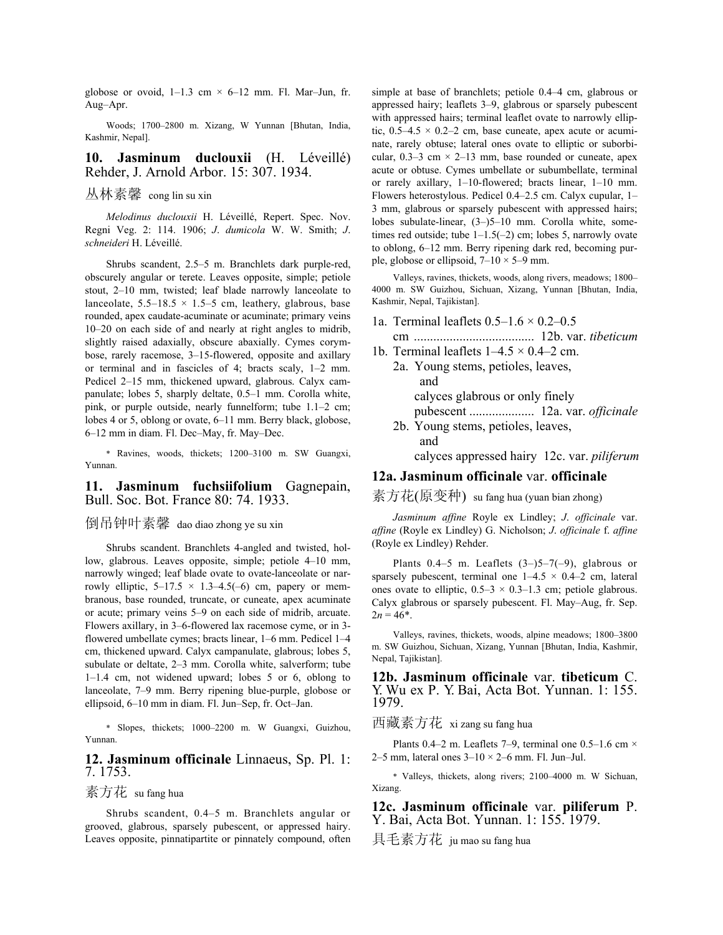globose or ovoid,  $1-1.3$  cm  $\times$  6-12 mm. Fl. Mar-Jun, fr. Aug–Apr.

 Woods; 1700–2800 m. Xizang, W Yunnan [Bhutan, India, Kashmir, Nepal].

## **10. Jasminum duclouxii** (H. Léveillé) Rehder, J. Arnold Arbor. 15: 307. 1934.

# 丛林素馨 cong lin su xin

 *Melodinus duclouxii* H. Léveillé, Repert. Spec. Nov. Regni Veg. 2: 114. 1906; *J*. *dumicola* W. W. Smith; *J*. *schneideri* H. Léveillé.

 Shrubs scandent, 2.5–5 m. Branchlets dark purple-red, obscurely angular or terete. Leaves opposite, simple; petiole stout, 2–10 mm, twisted; leaf blade narrowly lanceolate to lanceolate,  $5.5-18.5 \times 1.5-5$  cm, leathery, glabrous, base rounded, apex caudate-acuminate or acuminate; primary veins 10–20 on each side of and nearly at right angles to midrib, slightly raised adaxially, obscure abaxially. Cymes corymbose, rarely racemose, 3–15-flowered, opposite and axillary or terminal and in fascicles of 4; bracts scaly, 1–2 mm. Pedicel 2–15 mm, thickened upward, glabrous. Calyx campanulate; lobes 5, sharply deltate, 0.5–1 mm. Corolla white, pink, or purple outside, nearly funnelform; tube 1.1–2 cm; lobes 4 or 5, oblong or ovate, 6–11 mm. Berry black, globose, 6–12 mm in diam. Fl. Dec–May, fr. May–Dec.

\* Ravines, woods, thickets; 1200–3100 m. SW Guangxi, Yunnan.

#### **11. Jasminum fuchsiifolium** Gagnepain, Bull. Soc. Bot. France 80: 74. 1933.

### 倒吊钟叶素馨 dao diao zhong ye su xin

 Shrubs scandent. Branchlets 4-angled and twisted, hollow, glabrous. Leaves opposite, simple; petiole 4–10 mm, narrowly winged; leaf blade ovate to ovate-lanceolate or narrowly elliptic,  $5-17.5 \times 1.3-4.5(-6)$  cm, papery or membranous, base rounded, truncate, or cuneate, apex acuminate or acute; primary veins 5–9 on each side of midrib, arcuate. Flowers axillary, in 3–6-flowered lax racemose cyme, or in 3 flowered umbellate cymes; bracts linear, 1–6 mm. Pedicel 1–4 cm, thickened upward. Calyx campanulate, glabrous; lobes 5, subulate or deltate, 2–3 mm. Corolla white, salverform; tube 1–1.4 cm, not widened upward; lobes 5 or 6, oblong to lanceolate, 7–9 mm. Berry ripening blue-purple, globose or ellipsoid, 6–10 mm in diam. Fl. Jun–Sep, fr. Oct–Jan.

\* Slopes, thickets; 1000–2200 m. W Guangxi, Guizhou, Yunnan.

#### **12. Jasminum officinale** Linnaeus, Sp. Pl. 1: 7. 1753.

#### 素方花 su fang hua

 Shrubs scandent, 0.4–5 m. Branchlets angular or grooved, glabrous, sparsely pubescent, or appressed hairy. Leaves opposite, pinnatipartite or pinnately compound, often simple at base of branchlets; petiole 0.4–4 cm, glabrous or appressed hairy; leaflets 3–9, glabrous or sparsely pubescent with appressed hairs; terminal leaflet ovate to narrowly elliptic,  $0.5-4.5 \times 0.2-2$  cm, base cuneate, apex acute or acuminate, rarely obtuse; lateral ones ovate to elliptic or suborbicular,  $0.3-3$  cm  $\times$  2-13 mm, base rounded or cuneate, apex acute or obtuse. Cymes umbellate or subumbellate, terminal or rarely axillary, 1–10-flowered; bracts linear, 1–10 mm. Flowers heterostylous. Pedicel 0.4–2.5 cm. Calyx cupular, 1– 3 mm, glabrous or sparsely pubescent with appressed hairs; lobes subulate-linear, (3–)5–10 mm. Corolla white, sometimes red outside; tube 1–1.5(–2) cm; lobes 5, narrowly ovate to oblong, 6–12 mm. Berry ripening dark red, becoming purple, globose or ellipsoid,  $7-10 \times 5-9$  mm.

 Valleys, ravines, thickets, woods, along rivers, meadows; 1800– 4000 m. SW Guizhou, Sichuan, Xizang, Yunnan [Bhutan, India, Kashmir, Nepal, Tajikistan].

1a. Terminal leaflets  $0.5-1.6 \times 0.2-0.5$ 

 cm ..................................... 12b. var. *tibeticum*  1b. Terminal leaflets  $1-4.5 \times 0.4-2$  cm.

- 2a. Young stems, petioles, leaves, and calyces glabrous or only finely pubescent .................... 12a. var. *officinale*
	- 2b. Young stems, petioles, leaves, and

calyces appressed hairy 12c. var. *piliferum*

## **12a. Jasminum officinale** var. **officinale**

素方花(原变种) su fang hua (yuan bian zhong)

 *Jasminum affine* Royle ex Lindley; *J*. *officinale* var. *affine* (Royle ex Lindley) G. Nicholson; *J*. *officinale* f. *affine* (Royle ex Lindley) Rehder.

Plants  $0.4-5$  m. Leaflets  $(3-5)5-7(-9)$ , glabrous or sparsely pubescent, terminal one  $1-4.5 \times 0.4-2$  cm, lateral ones ovate to elliptic,  $0.5-3 \times 0.3-1.3$  cm; petiole glabrous. Calyx glabrous or sparsely pubescent. Fl. May–Aug, fr. Sep.  $2n = 46^*$ .

 Valleys, ravines, thickets, woods, alpine meadows; 1800–3800 m. SW Guizhou, Sichuan, Xizang, Yunnan [Bhutan, India, Kashmir, Nepal, Tajikistan].

**12b. Jasminum officinale** var. **tibeticum** C. Y. Wu ex P. Y. Bai, Acta Bot. Yunnan. 1: 155. 1979.

西藏素方花 xi zang su fang hua

Plants 0.4–2 m. Leaflets 7–9, terminal one 0.5–1.6 cm  $\times$ 2–5 mm, lateral ones  $3-10 \times 2$ –6 mm. Fl. Jun–Jul.

\* Valleys, thickets, along rivers; 2100–4000 m. W Sichuan, Xizang.

**12c. Jasminum officinale** var. **piliferum** P. Y. Bai, Acta Bot. Yunnan. 1: 155. 1979.

具毛素方花 ju mao su fang hua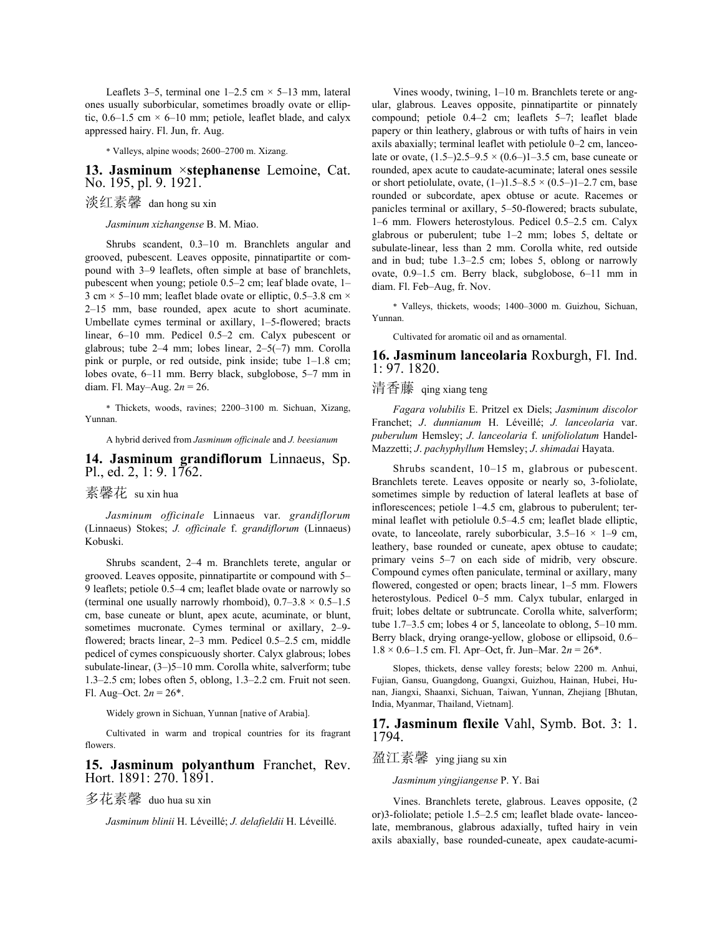Leaflets 3–5, terminal one  $1-2.5$  cm  $\times$  5–13 mm, lateral ones usually suborbicular, sometimes broadly ovate or elliptic,  $0.6-1.5$  cm  $\times$  6-10 mm; petiole, leaflet blade, and calyx appressed hairy. Fl. Jun, fr. Aug.

\* Valleys, alpine woods; 2600–2700 m. Xizang.

#### **13. Jasminum** ×**stephanense** Lemoine, Cat. No. 195, pl. 9. 1921.

# 淡红素馨 dan hong su xin

 *Jasminum xizhangense* B. M. Miao.

 Shrubs scandent, 0.3–10 m. Branchlets angular and grooved, pubescent. Leaves opposite, pinnatipartite or compound with 3–9 leaflets, often simple at base of branchlets, pubescent when young; petiole 0.5–2 cm; leaf blade ovate, 1– 3 cm  $\times$  5–10 mm; leaflet blade ovate or elliptic, 0.5–3.8 cm  $\times$ 2–15 mm, base rounded, apex acute to short acuminate. Umbellate cymes terminal or axillary, 1–5-flowered; bracts linear, 6–10 mm. Pedicel 0.5–2 cm. Calyx pubescent or glabrous; tube 2–4 mm; lobes linear, 2–5(–7) mm. Corolla pink or purple, or red outside, pink inside; tube 1–1.8 cm; lobes ovate, 6–11 mm. Berry black, subglobose, 5–7 mm in diam. Fl. May–Aug. 2*n* = 26.

\* Thickets, woods, ravines; 2200–3100 m. Sichuan, Xizang, Yunnan.

A hybrid derived from *Jasminum officinale* and *J. beesianum*

#### **14. Jasminum grandiflorum** Linnaeus, Sp. Pl., ed. 2, 1: 9. 1762.

素馨花 su xin hua

 *Jasminum officinale* Linnaeus var. *grandiflorum* (Linnaeus) Stokes; *J. officinale* f. *grandiflorum* (Linnaeus) Kobuski.

 Shrubs scandent, 2–4 m. Branchlets terete, angular or grooved. Leaves opposite, pinnatipartite or compound with 5– 9 leaflets; petiole 0.5–4 cm; leaflet blade ovate or narrowly so (terminal one usually narrowly rhomboid),  $0.7-3.8 \times 0.5-1.5$ cm, base cuneate or blunt, apex acute, acuminate, or blunt, sometimes mucronate. Cymes terminal or axillary, 2-9flowered; bracts linear, 2–3 mm. Pedicel 0.5–2.5 cm, middle pedicel of cymes conspicuously shorter. Calyx glabrous; lobes subulate-linear, (3–)5–10 mm. Corolla white, salverform; tube 1.3–2.5 cm; lobes often 5, oblong, 1.3–2.2 cm. Fruit not seen. Fl. Aug–Oct.  $2n = 26$ <sup>\*</sup>.

Widely grown in Sichuan, Yunnan [native of Arabia].

 Cultivated in warm and tropical countries for its fragrant flowers.

**15. Jasminum polyanthum** Franchet, Rev. Hort. 1891: 270. 1891.

多花素馨 duo hua su xin

 *Jasminum blinii* H. Léveillé; *J. delafieldii* H. Léveillé.

 Vines woody, twining, 1–10 m. Branchlets terete or angular, glabrous. Leaves opposite, pinnatipartite or pinnately compound; petiole 0.4–2 cm; leaflets 5–7; leaflet blade papery or thin leathery, glabrous or with tufts of hairs in vein axils abaxially; terminal leaflet with petiolule 0–2 cm, lanceolate or ovate,  $(1.5-)2.5-9.5 \times (0.6-)1-3.5$  cm, base cuneate or rounded, apex acute to caudate-acuminate; lateral ones sessile or short petiolulate, ovate,  $(1-)1.5-8.5 \times (0.5-)1-2.7$  cm, base rounded or subcordate, apex obtuse or acute. Racemes or panicles terminal or axillary, 5–50-flowered; bracts subulate, 1–6 mm. Flowers heterostylous. Pedicel 0.5–2.5 cm. Calyx glabrous or puberulent; tube 1–2 mm; lobes 5, deltate or subulate-linear, less than 2 mm. Corolla white, red outside and in bud; tube 1.3–2.5 cm; lobes 5, oblong or narrowly ovate, 0.9–1.5 cm. Berry black, subglobose, 6–11 mm in diam. Fl. Feb–Aug, fr. Nov.

\* Valleys, thickets, woods; 1400–3000 m. Guizhou, Sichuan, Yunnan.

Cultivated for aromatic oil and as ornamental.

#### **16. Jasminum lanceolaria** Roxburgh, Fl. Ind. 1: 97. 1820.

# 清香藤 qing xiang teng

 *Fagara volubilis* E. Pritzel ex Diels; *Jasminum discolor*  Franchet; *J*. *dunnianum* H. Léveillé; *J. lanceolaria* var. *puberulum* Hemsley; *J*. *lanceolaria* f. *unifoliolatum* Handel-Mazzetti; *J*. *pachyphyllum* Hemsley; *J*. *shimadai* Hayata.

 Shrubs scandent, 10–15 m, glabrous or pubescent. Branchlets terete. Leaves opposite or nearly so, 3-foliolate, sometimes simple by reduction of lateral leaflets at base of inflorescences; petiole 1–4.5 cm, glabrous to puberulent; terminal leaflet with petiolule 0.5–4.5 cm; leaflet blade elliptic, ovate, to lanceolate, rarely suborbicular,  $3.5-16 \times 1-9$  cm, leathery, base rounded or cuneate, apex obtuse to caudate; primary veins 5–7 on each side of midrib, very obscure. Compound cymes often paniculate, terminal or axillary, many flowered, congested or open; bracts linear, 1–5 mm. Flowers heterostylous. Pedicel 0–5 mm. Calyx tubular, enlarged in fruit; lobes deltate or subtruncate. Corolla white, salverform; tube 1.7–3.5 cm; lobes 4 or 5, lanceolate to oblong, 5–10 mm. Berry black, drying orange-yellow, globose or ellipsoid, 0.6–  $1.8 \times 0.6 - 1.5$  cm. Fl. Apr–Oct, fr. Jun–Mar.  $2n = 26$ <sup>\*</sup>.

 Slopes, thickets, dense valley forests; below 2200 m. Anhui, Fujian, Gansu, Guangdong, Guangxi, Guizhou, Hainan, Hubei, Hunan, Jiangxi, Shaanxi, Sichuan, Taiwan, Yunnan, Zhejiang [Bhutan, India, Myanmar, Thailand, Vietnam].

**17. Jasminum flexile** Vahl, Symb. Bot. 3: 1. 1794.

# 盈江素馨 ying jiang su xin

#### *Jasminum yingjiangense* P. Y. Bai

 Vines. Branchlets terete, glabrous. Leaves opposite, (2 or)3-foliolate; petiole 1.5–2.5 cm; leaflet blade ovate- lanceolate, membranous, glabrous adaxially, tufted hairy in vein axils abaxially, base rounded-cuneate, apex caudate-acumi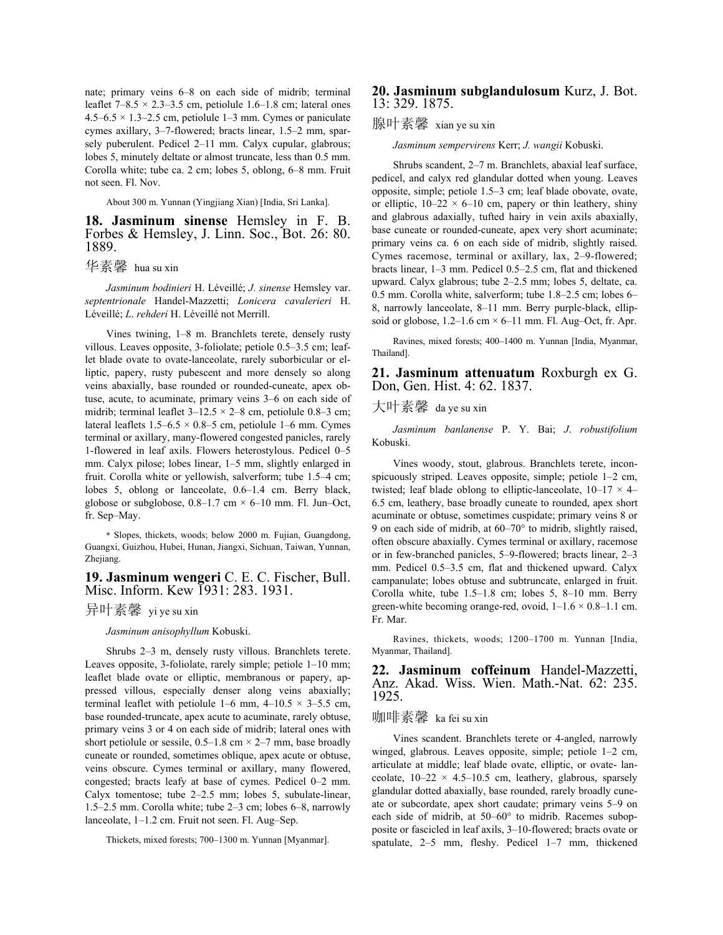nate; primary veins 6–8 on each side of midrib; terminal leaflet  $7-8.5 \times 2.3-3.5$  cm, petiolule 1.6–1.8 cm; lateral ones 4.5–6.5  $\times$  1.3–2.5 cm, petiolule 1–3 mm. Cymes or paniculate cymes axillary, 3–7-flowered; bracts linear, 1.5–2 mm, sparsely puberulent. Pedicel 2–11 mm. Calyx cupular, glabrous; lobes 5, minutely deltate or almost truncate, less than 0.5 mm. Corolla white; tube ca. 2 cm; lobes 5, oblong, 6–8 mm. Fruit not seen. Fl. Nov.

About 300 m. Yunnan (Yingjiang Xian) [India, Sri Lanka].

# **18. Jasminum sinense** Hemsley in F. B. Forbes & Hemsley, J. Linn. Soc., Bot. 26: 80. 1889.

华素馨 hua su xin

 *Jasminum bodinieri* H. Léveillé; *J. sinense* Hemsley var. *septentrionale* Handel-Mazzetti; *Lonicera cavalerieri* H. Léveillé; *L*. *rehderi* H. Léveillé not Merrill.

 Vines twining, 1–8 m. Branchlets terete, densely rusty villous. Leaves opposite, 3-foliolate; petiole 0.5–3.5 cm; leaflet blade ovate to ovate-lanceolate, rarely suborbicular or elliptic, papery, rusty pubescent and more densely so along veins abaxially, base rounded or rounded-cuneate, apex obtuse, acute, to acuminate, primary veins 3–6 on each side of midrib; terminal leaflet  $3-12.5 \times 2-8$  cm, petiolule 0.8–3 cm; lateral leaflets  $1.5-6.5 \times 0.8-5$  cm, petiolule 1–6 mm. Cymes terminal or axillary, many-flowered congested panicles, rarely 1-flowered in leaf axils. Flowers heterostylous. Pedicel 0–5 mm. Calyx pilose; lobes linear, 1–5 mm, slightly enlarged in fruit. Corolla white or yellowish, salverform; tube 1.5–4 cm; lobes 5, oblong or lanceolate, 0.6–1.4 cm. Berry black, globose or subglobose,  $0.8-1.7$  cm  $\times$  6-10 mm. Fl. Jun–Oct, fr. Sep–May.

\* Slopes, thickets, woods; below 2000 m. Fujian, Guangdong, Guangxi, Guizhou, Hubei, Hunan, Jiangxi, Sichuan, Taiwan, Yunnan, Zhejiang.

### **19. Jasminum wengeri** C. E. C. Fischer, Bull. Misc. Inform. Kew 1931: 283. 1931.

### 异叶素馨 yi ye su xin

#### *Jasminum anisophyllum* Kobuski.

 Shrubs 2–3 m, densely rusty villous. Branchlets terete. Leaves opposite, 3-foliolate, rarely simple; petiole 1–10 mm; leaflet blade ovate or elliptic, membranous or papery, appressed villous, especially denser along veins abaxially; terminal leaflet with petiolule 1–6 mm,  $4-10.5 \times 3-5.5$  cm, base rounded-truncate, apex acute to acuminate, rarely obtuse, primary veins 3 or 4 on each side of midrib; lateral ones with short petiolule or sessile,  $0.5-1.8$  cm  $\times$  2–7 mm, base broadly cuneate or rounded, sometimes oblique, apex acute or obtuse, veins obscure. Cymes terminal or axillary, many flowered, congested; bracts leafy at base of cymes. Pedicel 0–2 mm. Calyx tomentose; tube 2–2.5 mm; lobes 5, subulate-linear, 1.5–2.5 mm. Corolla white; tube 2–3 cm; lobes 6–8, narrowly lanceolate, 1–1.2 cm. Fruit not seen. Fl. Aug–Sep.

Thickets, mixed forests; 700–1300 m. Yunnan [Myanmar].

### **20. Jasminum subglandulosum** Kurz, J. Bot. 13: 329. 1875.

#### 腺叶素馨 xian ye su xin

*Jasminum sempervirens* Kerr; *J. wangii* Kobuski.

 Shrubs scandent, 2–7 m. Branchlets, abaxial leaf surface, pedicel, and calyx red glandular dotted when young. Leaves opposite, simple; petiole 1.5–3 cm; leaf blade obovate, ovate, or elliptic,  $10-22 \times 6-10$  cm, papery or thin leathery, shiny and glabrous adaxially, tufted hairy in vein axils abaxially, base cuneate or rounded-cuneate, apex very short acuminate; primary veins ca. 6 on each side of midrib, slightly raised. Cymes racemose, terminal or axillary, lax, 2–9-flowered; bracts linear, 1–3 mm. Pedicel 0.5–2.5 cm, flat and thickened upward. Calyx glabrous; tube 2–2.5 mm; lobes 5, deltate, ca. 0.5 mm. Corolla white, salverform; tube 1.8–2.5 cm; lobes 6– 8, narrowly lanceolate, 8–11 mm. Berry purple-black, ellipsoid or globose,  $1.2-1.6$  cm  $\times$  6–11 mm. Fl. Aug–Oct, fr. Apr.

 Ravines, mixed forests; 400–1400 m. Yunnan [India, Myanmar, Thailand].

**21. Jasminum attenuatum** Roxburgh ex G. Don, Gen. Hist. 4: 62. 1837.

大叶素馨 da ye su xin

*Jasminum banlanense* P. Y. Bai; *J*. *robustifolium* Kobuski.

 Vines woody, stout, glabrous. Branchlets terete, inconspicuously striped. Leaves opposite, simple; petiole 1–2 cm, twisted; leaf blade oblong to elliptic-lanceolate,  $10-17 \times 4-$ 6.5 cm, leathery, base broadly cuneate to rounded, apex short acuminate or obtuse, sometimes cuspidate; primary veins 8 or 9 on each side of midrib, at 60–70° to midrib, slightly raised, often obscure abaxially. Cymes terminal or axillary, racemose or in few-branched panicles, 5–9-flowered; bracts linear, 2–3 mm. Pedicel 0.5–3.5 cm, flat and thickened upward. Calyx campanulate; lobes obtuse and subtruncate, enlarged in fruit. Corolla white, tube 1.5–1.8 cm; lobes 5, 8–10 mm. Berry green-white becoming orange-red, ovoid,  $1-1.6 \times 0.8-1.1$  cm. Fr. Mar.

 Ravines, thickets, woods; 1200–1700 m. Yunnan [India, Myanmar, Thailand].

**22. Jasminum coffeinum** Handel-Mazzetti, Anz. Akad. Wiss. Wien. Math.-Nat. 62: 235. 1925.

# 咖啡素馨 ka fei su xin

 Vines scandent. Branchlets terete or 4-angled, narrowly winged, glabrous. Leaves opposite, simple; petiole 1–2 cm, articulate at middle; leaf blade ovate, elliptic, or ovate- lanceolate,  $10-22 \times 4.5-10.5$  cm, leathery, glabrous, sparsely glandular dotted abaxially, base rounded, rarely broadly cuneate or subcordate, apex short caudate; primary veins 5–9 on each side of midrib, at 50–60° to midrib. Racemes subopposite or fascicled in leaf axils, 3–10-flowered; bracts ovate or spatulate, 2–5 mm, fleshy. Pedicel 1–7 mm, thickened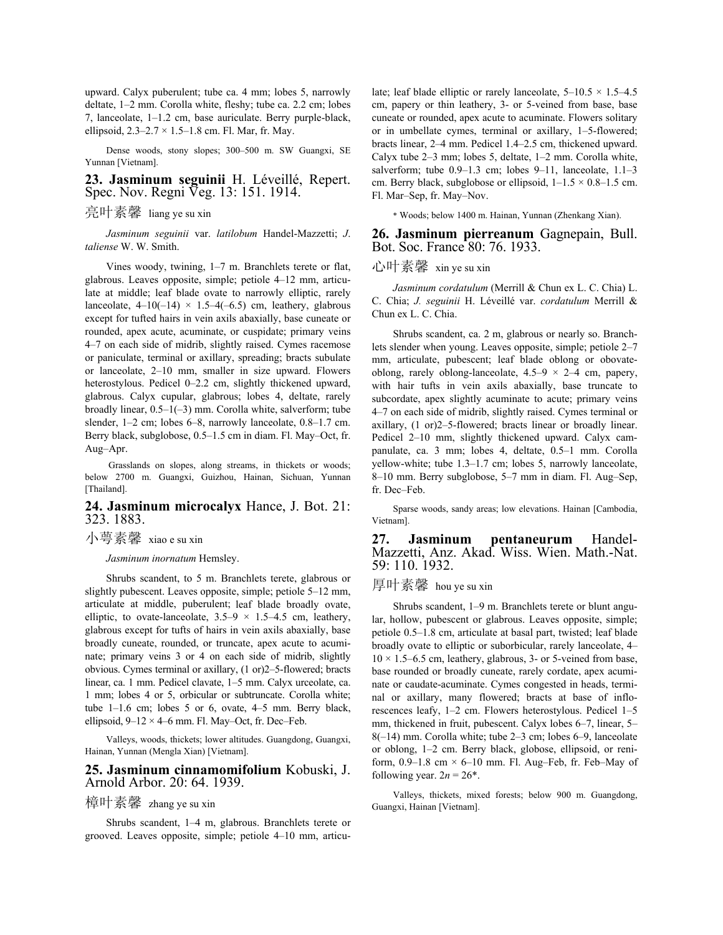upward. Calyx puberulent; tube ca. 4 mm; lobes 5, narrowly deltate, 1–2 mm. Corolla white, fleshy; tube ca. 2.2 cm; lobes 7, lanceolate, 1–1.2 cm, base auriculate. Berry purple-black, ellipsoid,  $2.3 - 2.7 \times 1.5 - 1.8$  cm. Fl. Mar, fr. May.

 Dense woods, stony slopes; 300–500 m. SW Guangxi, SE Yunnan [Vietnam].

#### **23. Jasminum seguinii** H. Léveillé, Repert. Spec. Nov. Regni Veg. 13: 151. 1914.

# 亮叶素馨 liang ye su xin

 *Jasminum seguinii* var. *latilobum* Handel-Mazzetti; *J*. *taliense* W. W. Smith.

 Vines woody, twining, 1–7 m. Branchlets terete or flat, glabrous. Leaves opposite, simple; petiole 4–12 mm, articulate at middle; leaf blade ovate to narrowly elliptic, rarely lanceolate,  $4-10(-14) \times 1.5-4(-6.5)$  cm, leathery, glabrous except for tufted hairs in vein axils abaxially, base cuneate or rounded, apex acute, acuminate, or cuspidate; primary veins 4–7 on each side of midrib, slightly raised. Cymes racemose or paniculate, terminal or axillary, spreading; bracts subulate or lanceolate, 2–10 mm, smaller in size upward. Flowers heterostylous. Pedicel 0–2.2 cm, slightly thickened upward, glabrous. Calyx cupular, glabrous; lobes 4, deltate, rarely broadly linear, 0.5–1(–3) mm. Corolla white, salverform; tube slender, 1-2 cm; lobes 6-8, narrowly lanceolate, 0.8-1.7 cm. Berry black, subglobose, 0.5–1.5 cm in diam. Fl. May–Oct, fr. Aug–Apr.

 Grasslands on slopes, along streams, in thickets or woods; below 2700 m. Guangxi, Guizhou, Hainan, Sichuan, Yunnan [Thailand].

#### **24. Jasminum microcalyx** Hance, J. Bot. 21: 323. 1883.

小萼素馨 xiao e su xin

 *Jasminum inornatum* Hemsley.

 Shrubs scandent, to 5 m. Branchlets terete, glabrous or slightly pubescent. Leaves opposite, simple; petiole 5–12 mm, articulate at middle, puberulent; leaf blade broadly ovate, elliptic, to ovate-lanceolate,  $3.5-9 \times 1.5-4.5$  cm, leathery, glabrous except for tufts of hairs in vein axils abaxially, base broadly cuneate, rounded, or truncate, apex acute to acuminate; primary veins 3 or 4 on each side of midrib, slightly obvious. Cymes terminal or axillary, (1 or)2–5-flowered; bracts linear, ca. 1 mm. Pedicel clavate, 1–5 mm. Calyx urceolate, ca. 1 mm; lobes 4 or 5, orbicular or subtruncate. Corolla white; tube 1–1.6 cm; lobes 5 or 6, ovate, 4–5 mm. Berry black, ellipsoid,  $9-12 \times 4-6$  mm. Fl. May–Oct, fr. Dec–Feb.

 Valleys, woods, thickets; lower altitudes. Guangdong, Guangxi, Hainan, Yunnan (Mengla Xian) [Vietnam].

## **25. Jasminum cinnamomifolium** Kobuski, J. Arnold Arbor. 20: 64. 1939.

### 樟叶素馨 zhang ye su xin

 Shrubs scandent, 1–4 m, glabrous. Branchlets terete or grooved. Leaves opposite, simple; petiole 4–10 mm, articulate; leaf blade elliptic or rarely lanceolate,  $5-10.5 \times 1.5-4.5$ cm, papery or thin leathery, 3- or 5-veined from base, base cuneate or rounded, apex acute to acuminate. Flowers solitary or in umbellate cymes, terminal or axillary, 1–5-flowered; bracts linear, 2–4 mm. Pedicel 1.4–2.5 cm, thickened upward. Calyx tube 2–3 mm; lobes 5, deltate, 1–2 mm. Corolla white, salverform; tube 0.9–1.3 cm; lobes 9–11, lanceolate, 1.1–3 cm. Berry black, subglobose or ellipsoid,  $1-1.5 \times 0.8-1.5$  cm. Fl. Mar–Sep, fr. May–Nov.

\* Woods; below 1400 m. Hainan, Yunnan (Zhenkang Xian).

**26. Jasminum pierreanum** Gagnepain, Bull. Bot. Soc. France 80: 76. 1933.

# 心叶素馨 xin ye su xin

 *Jasminum cordatulum* (Merrill & Chun ex L. C. Chia) L. C. Chia; *J. seguinii* H. Léveillé var. *cordatulum* Merrill & Chun ex L. C. Chia.

 Shrubs scandent, ca. 2 m, glabrous or nearly so. Branchlets slender when young. Leaves opposite, simple; petiole 2–7 mm, articulate, pubescent; leaf blade oblong or obovateoblong, rarely oblong-lanceolate,  $4.5-9 \times 2-4$  cm, papery, with hair tufts in vein axils abaxially, base truncate to subcordate, apex slightly acuminate to acute; primary veins 4–7 on each side of midrib, slightly raised. Cymes terminal or axillary, (1 or)2–5-flowered; bracts linear or broadly linear. Pedicel 2–10 mm, slightly thickened upward. Calyx campanulate, ca. 3 mm; lobes 4, deltate, 0.5–1 mm. Corolla yellow-white; tube 1.3–1.7 cm; lobes 5, narrowly lanceolate, 8–10 mm. Berry subglobose, 5–7 mm in diam. Fl. Aug–Sep, fr. Dec–Feb.

 Sparse woods, sandy areas; low elevations. Hainan [Cambodia, Vietnam].

**27. Jasminum pentaneurum** Handel-Mazzetti, Anz. Akad. Wiss. Wien. Math.-Nat. 59: 110. 1932.

#### 厚叶素馨 hou ye su xin

 Shrubs scandent, 1–9 m. Branchlets terete or blunt angular, hollow, pubescent or glabrous. Leaves opposite, simple; petiole 0.5–1.8 cm, articulate at basal part, twisted; leaf blade broadly ovate to elliptic or suborbicular, rarely lanceolate, 4–  $10 \times 1.5$ –6.5 cm, leathery, glabrous, 3- or 5-veined from base, base rounded or broadly cuneate, rarely cordate, apex acuminate or caudate-acuminate. Cymes congested in heads, terminal or axillary, many flowered; bracts at base of inflorescences leafy, 1–2 cm. Flowers heterostylous. Pedicel 1–5 mm, thickened in fruit, pubescent. Calyx lobes 6–7, linear, 5– 8(–14) mm. Corolla white; tube 2–3 cm; lobes 6–9, lanceolate or oblong, 1–2 cm. Berry black, globose, ellipsoid, or reniform,  $0.9-1.8$  cm  $\times$  6-10 mm. Fl. Aug–Feb, fr. Feb–May of following year.  $2n = 26^*$ .

 Valleys, thickets, mixed forests; below 900 m. Guangdong, Guangxi, Hainan [Vietnam].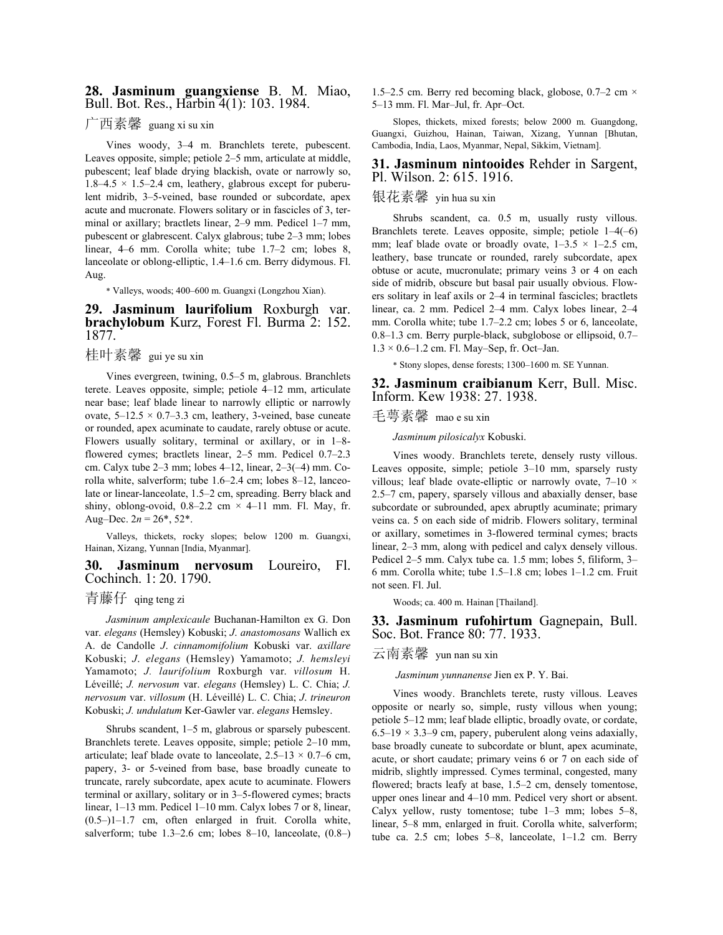#### **28. Jasminum guangxiense** B. M. Miao, Bull. Bot. Res., Harbin 4(1): 103. 1984.

# 广西素馨 guang xi su xin

 Vines woody, 3–4 m. Branchlets terete, pubescent. Leaves opposite, simple; petiole 2–5 mm, articulate at middle, pubescent; leaf blade drying blackish, ovate or narrowly so,  $1.8-4.5 \times 1.5-2.4$  cm, leathery, glabrous except for puberulent midrib, 3–5-veined, base rounded or subcordate, apex acute and mucronate. Flowers solitary or in fascicles of 3, terminal or axillary; bractlets linear, 2–9 mm. Pedicel 1–7 mm, pubescent or glabrescent. Calyx glabrous; tube 2–3 mm; lobes linear, 4–6 mm. Corolla white; tube 1.7–2 cm; lobes 8, lanceolate or oblong-elliptic, 1.4–1.6 cm. Berry didymous. Fl. Aug.

\* Valleys, woods; 400–600 m. Guangxi (Longzhou Xian).

#### **29. Jasminum laurifolium** Roxburgh var. **brachylobum** Kurz, Forest Fl. Burma 2: 152. 1877.

# 桂叶素馨 gui ye su xin

 Vines evergreen, twining, 0.5–5 m, glabrous. Branchlets terete. Leaves opposite, simple; petiole 4–12 mm, articulate near base; leaf blade linear to narrowly elliptic or narrowly ovate,  $5-12.5 \times 0.7-3.3$  cm, leathery, 3-veined, base cuneate or rounded, apex acuminate to caudate, rarely obtuse or acute. Flowers usually solitary, terminal or axillary, or in 1–8 flowered cymes; bractlets linear, 2–5 mm. Pedicel 0.7–2.3 cm. Calyx tube 2–3 mm; lobes 4–12, linear, 2–3(–4) mm. Corolla white, salverform; tube 1.6–2.4 cm; lobes 8–12, lanceolate or linear-lanceolate, 1.5–2 cm, spreading. Berry black and shiny, oblong-ovoid,  $0.8-2.2$  cm  $\times$  4-11 mm. Fl. May, fr. Aug–Dec.  $2n = 26^*$ , 52<sup>\*</sup>.

 Valleys, thickets, rocky slopes; below 1200 m. Guangxi, Hainan, Xizang, Yunnan [India, Myanmar].

#### **30. Jasminum nervosum** Loureiro, Fl. Cochinch. 1: 20. 1790.

# 青藤仔 qing teng zi

 *Jasminum amplexicaule* Buchanan-Hamilton ex G. Don var. *elegans* (Hemsley) Kobuski; *J*. *anastomosans* Wallich ex A. de Candolle *J*. *cinnamomifolium* Kobuski var. *axillare* Kobuski; *J*. *elegans* (Hemsley) Yamamoto; *J. hemsleyi* Yamamoto; *J. laurifolium* Roxburgh var. *villosum* H. Léveillé; *J. nervosum* var. *elegans* (Hemsley) L. C. Chia; *J. nervosum* var. *villosum* (H. Léveillé) L. C. Chia; *J*. *trineuron* Kobuski; *J. undulatum* Ker-Gawler var. *elegans* Hemsley.

 Shrubs scandent, 1–5 m, glabrous or sparsely pubescent. Branchlets terete. Leaves opposite, simple; petiole 2–10 mm, articulate; leaf blade ovate to lanceolate,  $2.5-13 \times 0.7-6$  cm, papery, 3- or 5-veined from base, base broadly cuneate to truncate, rarely subcordate, apex acute to acuminate. Flowers terminal or axillary, solitary or in 3–5-flowered cymes; bracts linear, 1–13 mm. Pedicel 1–10 mm. Calyx lobes 7 or 8, linear,  $(0.5-1)$ 1.7 cm, often enlarged in fruit. Corolla white, salverform; tube 1.3–2.6 cm; lobes 8–10, lanceolate,  $(0.8-)$  1.5–2.5 cm. Berry red becoming black, globose,  $0.7$ –2 cm  $\times$ 5–13 mm. Fl. Mar–Jul, fr. Apr–Oct.

 Slopes, thickets, mixed forests; below 2000 m. Guangdong, Guangxi, Guizhou, Hainan, Taiwan, Xizang, Yunnan [Bhutan, Cambodia, India, Laos, Myanmar, Nepal, Sikkim, Vietnam].

#### **31. Jasminum nintooides** Rehder in Sargent, Pl. Wilson. 2: 615. 1916.

## 银花素馨 yin hua su xin

 Shrubs scandent, ca. 0.5 m, usually rusty villous. Branchlets terete. Leaves opposite, simple; petiole 1–4(–6) mm; leaf blade ovate or broadly ovate,  $1-3.5 \times 1-2.5$  cm, leathery, base truncate or rounded, rarely subcordate, apex obtuse or acute, mucronulate; primary veins 3 or 4 on each side of midrib, obscure but basal pair usually obvious. Flowers solitary in leaf axils or 2–4 in terminal fascicles; bractlets linear, ca. 2 mm. Pedicel 2–4 mm. Calyx lobes linear, 2–4 mm. Corolla white; tube 1.7–2.2 cm; lobes 5 or 6, lanceolate, 0.8–1.3 cm. Berry purple-black, subglobose or ellipsoid, 0.7–  $1.3 \times 0.6$ –1.2 cm. Fl. May–Sep, fr. Oct–Jan.

\* Stony slopes, dense forests; 1300–1600 m. SE Yunnan.

**32. Jasminum craibianum** Kerr, Bull. Misc. Inform. Kew 1938: 27. 1938.

# 毛萼素馨 mao e su xin

 *Jasminum pilosicalyx* Kobuski.

 Vines woody. Branchlets terete, densely rusty villous. Leaves opposite, simple; petiole 3–10 mm, sparsely rusty villous; leaf blade ovate-elliptic or narrowly ovate,  $7-10 \times$ 2.5–7 cm, papery, sparsely villous and abaxially denser, base subcordate or subrounded, apex abruptly acuminate; primary veins ca. 5 on each side of midrib. Flowers solitary, terminal or axillary, sometimes in 3-flowered terminal cymes; bracts linear, 2–3 mm, along with pedicel and calyx densely villous. Pedicel 2–5 mm. Calyx tube ca. 1.5 mm; lobes 5, filiform, 3– 6 mm. Corolla white; tube 1.5–1.8 cm; lobes 1–1.2 cm. Fruit not seen. Fl. Jul.

Woods; ca. 400 m. Hainan [Thailand].

**33. Jasminum rufohirtum** Gagnepain, Bull. Soc. Bot. France 80: 77. 1933.

云南素馨 yun nan su xin

*Jasminum yunnanense* Jien ex P. Y. Bai.

 Vines woody. Branchlets terete, rusty villous. Leaves opposite or nearly so, simple, rusty villous when young; petiole 5–12 mm; leaf blade elliptic, broadly ovate, or cordate,  $6.5-19 \times 3.3-9$  cm, papery, puberulent along veins adaxially, base broadly cuneate to subcordate or blunt, apex acuminate, acute, or short caudate; primary veins 6 or 7 on each side of midrib, slightly impressed. Cymes terminal, congested, many flowered; bracts leafy at base, 1.5–2 cm, densely tomentose, upper ones linear and 4–10 mm. Pedicel very short or absent. Calyx yellow, rusty tomentose; tube 1–3 mm; lobes 5–8, linear, 5–8 mm, enlarged in fruit. Corolla white, salverform; tube ca. 2.5 cm; lobes 5–8, lanceolate, 1–1.2 cm. Berry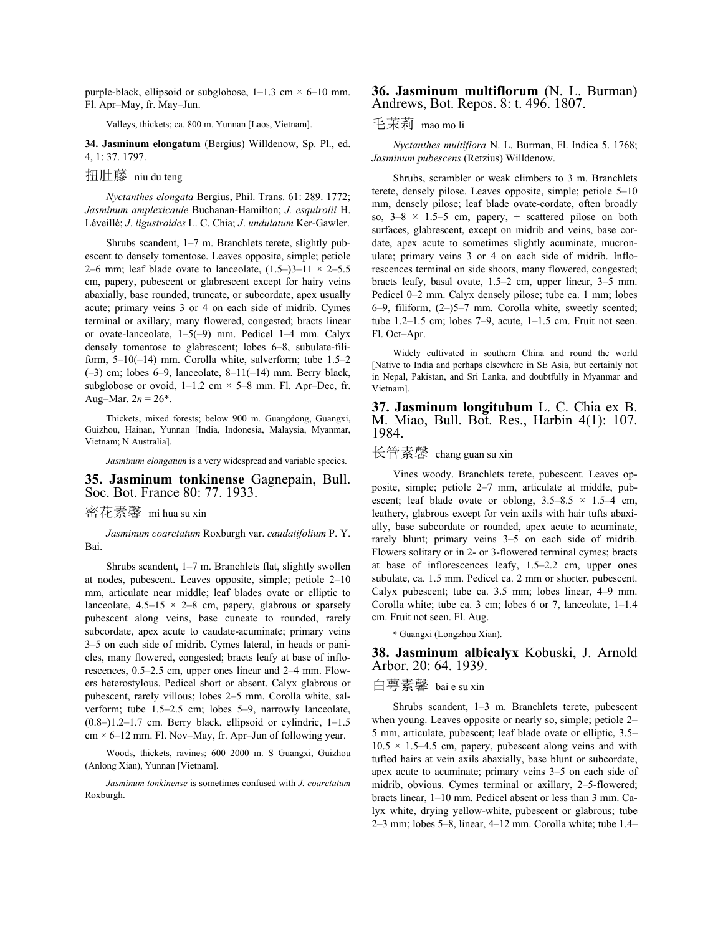purple-black, ellipsoid or subglobose,  $1-1.3$  cm  $\times$  6-10 mm. Fl. Apr–May, fr. May–Jun.

Valleys, thickets; ca. 800 m. Yunnan [Laos, Vietnam].

**34. Jasminum elongatum** (Bergius) Willdenow, Sp. Pl., ed. 4, 1: 37. 1797.

扭肚藤 niu du teng

 *Nyctanthes elongata* Bergius, Phil. Trans. 61: 289. 1772; *Jasminum amplexicaule* Buchanan-Hamilton; *J. esquirolii* H. Léveillé; *J*. *ligustroides* L. C. Chia; *J*. *undulatum* Ker-Gawler.

 Shrubs scandent, 1–7 m. Branchlets terete, slightly pubescent to densely tomentose. Leaves opposite, simple; petiole 2–6 mm; leaf blade ovate to lanceolate,  $(1.5-3)$ 3–11 × 2–5.5 cm, papery, pubescent or glabrescent except for hairy veins abaxially, base rounded, truncate, or subcordate, apex usually acute; primary veins 3 or 4 on each side of midrib. Cymes terminal or axillary, many flowered, congested; bracts linear or ovate-lanceolate, 1–5(–9) mm. Pedicel 1–4 mm. Calyx densely tomentose to glabrescent; lobes 6–8, subulate-filiform, 5–10(–14) mm. Corolla white, salverform; tube 1.5–2  $(-3)$  cm; lobes 6–9, lanceolate, 8–11(–14) mm. Berry black, subglobose or ovoid,  $1-1.2$  cm  $\times$  5–8 mm. Fl. Apr–Dec, fr. Aug–Mar.  $2n = 26^*$ .

 Thickets, mixed forests; below 900 m. Guangdong, Guangxi, Guizhou, Hainan, Yunnan [India, Indonesia, Malaysia, Myanmar, Vietnam; N Australia].

*Jasminum elongatum* is a very widespread and variable species.

#### **35. Jasminum tonkinense** Gagnepain, Bull. Soc. Bot. France 80: 77. 1933.

#### 密花素馨 mi hua su xin

 *Jasminum coarctatum* Roxburgh var. *caudatifolium* P. Y. Bai.

 Shrubs scandent, 1–7 m. Branchlets flat, slightly swollen at nodes, pubescent. Leaves opposite, simple; petiole 2–10 mm, articulate near middle; leaf blades ovate or elliptic to lanceolate,  $4.5-15 \times 2-8$  cm, papery, glabrous or sparsely pubescent along veins, base cuneate to rounded, rarely subcordate, apex acute to caudate-acuminate; primary veins 3–5 on each side of midrib. Cymes lateral, in heads or panicles, many flowered, congested; bracts leafy at base of inflorescences, 0.5–2.5 cm, upper ones linear and 2–4 mm. Flowers heterostylous. Pedicel short or absent. Calyx glabrous or pubescent, rarely villous; lobes 2–5 mm. Corolla white, salverform; tube 1.5–2.5 cm; lobes 5–9, narrowly lanceolate,  $(0.8-)1.2-1.7$  cm. Berry black, ellipsoid or cylindric,  $1-1.5$  $cm \times 6-12$  mm. Fl. Nov–May, fr. Apr–Jun of following year.

 Woods, thickets, ravines; 600–2000 m. S Guangxi, Guizhou (Anlong Xian), Yunnan [Vietnam].

*Jasminum tonkinense* is sometimes confused with *J. coarctatum* Roxburgh.

#### **36. Jasminum multiflorum** (N. L. Burman) Andrews, Bot. Repos. 8: t. 496. 1807.

#### 毛茉莉 mao mo li

 *Nyctanthes multiflora* N. L. Burman, Fl. Indica 5. 1768; *Jasminum pubescens* (Retzius) Willdenow.

 Shrubs, scrambler or weak climbers to 3 m. Branchlets terete, densely pilose. Leaves opposite, simple; petiole 5–10 mm, densely pilose; leaf blade ovate-cordate, often broadly so,  $3-8 \times 1.5-5$  cm, papery,  $\pm$  scattered pilose on both surfaces, glabrescent, except on midrib and veins, base cordate, apex acute to sometimes slightly acuminate, mucronulate; primary veins 3 or 4 on each side of midrib. Inflorescences terminal on side shoots, many flowered, congested; bracts leafy, basal ovate, 1.5–2 cm, upper linear, 3–5 mm. Pedicel 0–2 mm. Calyx densely pilose; tube ca. 1 mm; lobes 6–9, filiform, (2–)5–7 mm. Corolla white, sweetly scented; tube 1.2–1.5 cm; lobes 7–9, acute, 1–1.5 cm. Fruit not seen. Fl. Oct–Apr.

 Widely cultivated in southern China and round the world [Native to India and perhaps elsewhere in SE Asia, but certainly not in Nepal, Pakistan, and Sri Lanka, and doubtfully in Myanmar and Vietnam].

**37. Jasminum longitubum** L. C. Chia ex B. M. Miao, Bull. Bot. Res., Harbin 4(1): 107. 1984.

## 长管素馨 chang guan su xin

 Vines woody. Branchlets terete, pubescent. Leaves opposite, simple; petiole 2–7 mm, articulate at middle, pubescent; leaf blade ovate or oblong,  $3.5-8.5 \times 1.5-4$  cm, leathery, glabrous except for vein axils with hair tufts abaxially, base subcordate or rounded, apex acute to acuminate, rarely blunt; primary veins 3–5 on each side of midrib. Flowers solitary or in 2- or 3-flowered terminal cymes; bracts at base of inflorescences leafy, 1.5–2.2 cm, upper ones subulate, ca. 1.5 mm. Pedicel ca. 2 mm or shorter, pubescent. Calyx pubescent; tube ca. 3.5 mm; lobes linear, 4–9 mm. Corolla white; tube ca. 3 cm; lobes 6 or 7, lanceolate, 1–1.4 cm. Fruit not seen. Fl. Aug.

\* Guangxi (Longzhou Xian).

#### **38. Jasminum albicalyx** Kobuski, J. Arnold Arbor. 20: 64. 1939.

# 白萼素馨 bai e su xin

 Shrubs scandent, 1–3 m. Branchlets terete, pubescent when young. Leaves opposite or nearly so, simple; petiole 2– 5 mm, articulate, pubescent; leaf blade ovate or elliptic, 3.5–  $10.5 \times 1.5 - 4.5$  cm, papery, pubescent along veins and with tufted hairs at vein axils abaxially, base blunt or subcordate, apex acute to acuminate; primary veins 3–5 on each side of midrib, obvious. Cymes terminal or axillary, 2–5-flowered; bracts linear, 1–10 mm. Pedicel absent or less than 3 mm. Calyx white, drying yellow-white, pubescent or glabrous; tube 2–3 mm; lobes 5–8, linear, 4–12 mm. Corolla white; tube 1.4–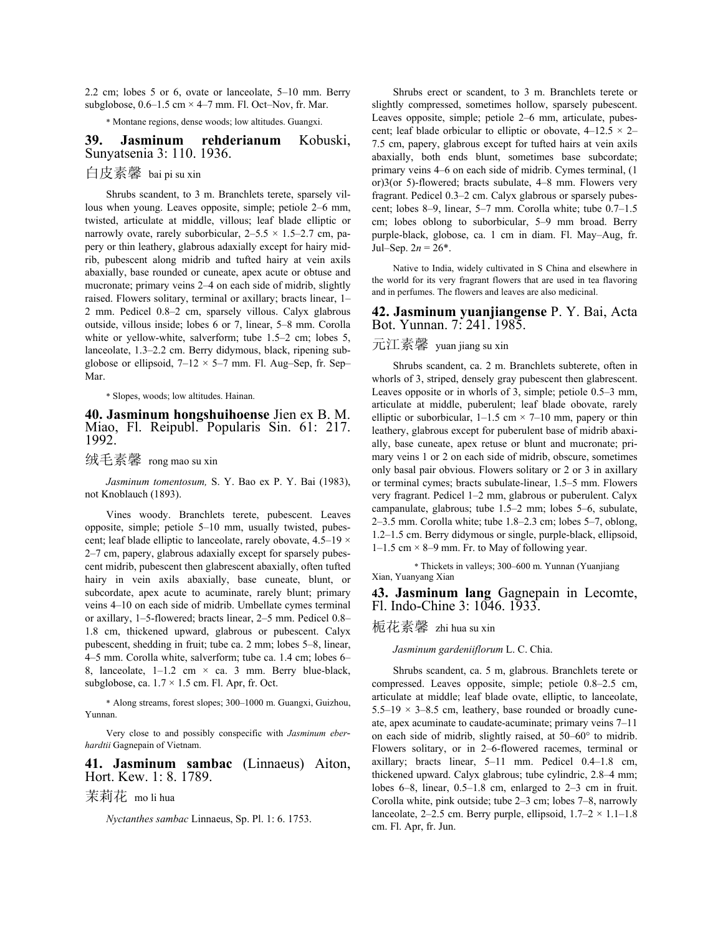2.2 cm; lobes 5 or 6, ovate or lanceolate, 5–10 mm. Berry subglobose,  $0.6-1.5$  cm  $\times$  4–7 mm. Fl. Oct–Nov, fr. Mar.

\* Montane regions, dense woods; low altitudes. Guangxi.

#### **39. Jasminum rehderianum** Kobuski, Sunyatsenia 3: 110. 1936.

# 白皮素馨 bai pi su xin

 Shrubs scandent, to 3 m. Branchlets terete, sparsely villous when young. Leaves opposite, simple; petiole 2–6 mm, twisted, articulate at middle, villous; leaf blade elliptic or narrowly ovate, rarely suborbicular,  $2-5.5 \times 1.5-2.7$  cm, papery or thin leathery, glabrous adaxially except for hairy midrib, pubescent along midrib and tufted hairy at vein axils abaxially, base rounded or cuneate, apex acute or obtuse and mucronate; primary veins 2–4 on each side of midrib, slightly raised. Flowers solitary, terminal or axillary; bracts linear, 1– 2 mm. Pedicel 0.8–2 cm, sparsely villous. Calyx glabrous outside, villous inside; lobes 6 or 7, linear, 5–8 mm. Corolla white or yellow-white, salverform; tube 1.5–2 cm; lobes 5, lanceolate, 1.3–2.2 cm. Berry didymous, black, ripening subglobose or ellipsoid,  $7-12 \times 5-7$  mm. Fl. Aug–Sep, fr. Sep– Mar.

\* Slopes, woods; low altitudes. Hainan.

**40. Jasminum hongshuihoense** Jien ex B. M. Miao, Fl. Reipubl. Popularis Sin. 61: 217. 1992.

绒毛素馨 rong mao su xin

 *Jasminum tomentosum,* S. Y. Bao ex P. Y. Bai (1983), not Knoblauch (1893).

 Vines woody. Branchlets terete, pubescent. Leaves opposite, simple; petiole 5–10 mm, usually twisted, pubescent; leaf blade elliptic to lanceolate, rarely obovate, 4.5–19 × 2–7 cm, papery, glabrous adaxially except for sparsely pubescent midrib, pubescent then glabrescent abaxially, often tufted hairy in vein axils abaxially, base cuneate, blunt, or subcordate, apex acute to acuminate, rarely blunt; primary veins 4–10 on each side of midrib. Umbellate cymes terminal or axillary, 1–5-flowered; bracts linear, 2–5 mm. Pedicel 0.8– 1.8 cm, thickened upward, glabrous or pubescent. Calyx pubescent, shedding in fruit; tube ca. 2 mm; lobes 5–8, linear, 4–5 mm. Corolla white, salverform; tube ca. 1.4 cm; lobes 6– 8, lanceolate,  $1-1.2$  cm  $\times$  ca. 3 mm. Berry blue-black, subglobose, ca.  $1.7 \times 1.5$  cm. Fl. Apr, fr. Oct.

\* Along streams, forest slopes; 300–1000 m. Guangxi, Guizhou, Yunnan.

 Very close to and possibly conspecific with *Jasminum eberhardtii* Gagnepain of Vietnam.

**41. Jasminum sambac** (Linnaeus) Aiton, Hort. Kew. 1: 8. 1789.

茉莉花 mo li hua

 *Nyctanthes sambac* Linnaeus, Sp. Pl. 1: 6. 1753.

 Shrubs erect or scandent, to 3 m. Branchlets terete or slightly compressed, sometimes hollow, sparsely pubescent. Leaves opposite, simple; petiole 2–6 mm, articulate, pubescent; leaf blade orbicular to elliptic or obovate,  $4-12.5 \times 2-$ 7.5 cm, papery, glabrous except for tufted hairs at vein axils abaxially, both ends blunt, sometimes base subcordate; primary veins 4–6 on each side of midrib. Cymes terminal, (1 or)3(or 5)-flowered; bracts subulate, 4–8 mm. Flowers very fragrant. Pedicel 0.3–2 cm. Calyx glabrous or sparsely pubescent; lobes 8–9, linear, 5–7 mm. Corolla white; tube 0.7–1.5 cm; lobes oblong to suborbicular, 5–9 mm broad. Berry purple-black, globose, ca. 1 cm in diam. Fl. May–Aug, fr. Jul–Sep.  $2n = 26^*$ .

 Native to India, widely cultivated in S China and elsewhere in the world for its very fragrant flowers that are used in tea flavoring and in perfumes. The flowers and leaves are also medicinal.

#### **42. Jasminum yuanjiangense** P. Y. Bai, Acta Bot. Yunnan. 7: 241. 1985.

## 元江素馨 yuan jiang su xin

 Shrubs scandent, ca. 2 m. Branchlets subterete, often in whorls of 3, striped, densely gray pubescent then glabrescent. Leaves opposite or in whorls of 3, simple; petiole 0.5–3 mm, articulate at middle, puberulent; leaf blade obovate, rarely elliptic or suborbicular,  $1-1.5$  cm  $\times$  7–10 mm, papery or thin leathery, glabrous except for puberulent base of midrib abaxially, base cuneate, apex retuse or blunt and mucronate; primary veins 1 or 2 on each side of midrib, obscure, sometimes only basal pair obvious. Flowers solitary or 2 or 3 in axillary or terminal cymes; bracts subulate-linear, 1.5–5 mm. Flowers very fragrant. Pedicel 1–2 mm, glabrous or puberulent. Calyx campanulate, glabrous; tube 1.5–2 mm; lobes 5–6, subulate, 2–3.5 mm. Corolla white; tube 1.8–2.3 cm; lobes 5–7, oblong, 1.2–1.5 cm. Berry didymous or single, purple-black, ellipsoid,  $1-1.5$  cm  $\times$  8–9 mm. Fr. to May of following year.

\* Thickets in valleys; 300–600 m. Yunnan (Yuanjiang Xian, Yuanyang Xian

**43. Jasminum lang** Gagnepain in Lecomte, Fl. Indo-Chine 3: 1046. 1933.

### 栀花素馨 zhi hua su xin

 *Jasminum gardeniiflorum* L. C. Chia.

 Shrubs scandent, ca. 5 m, glabrous. Branchlets terete or compressed. Leaves opposite, simple; petiole 0.8–2.5 cm, articulate at middle; leaf blade ovate, elliptic, to lanceolate, 5.5–19  $\times$  3–8.5 cm, leathery, base rounded or broadly cuneate, apex acuminate to caudate-acuminate; primary veins 7–11 on each side of midrib, slightly raised, at 50–60° to midrib. Flowers solitary, or in 2–6-flowered racemes, terminal or axillary; bracts linear, 5–11 mm. Pedicel 0.4–1.8 cm, thickened upward. Calyx glabrous; tube cylindric, 2.8–4 mm; lobes 6–8, linear, 0.5–1.8 cm, enlarged to 2–3 cm in fruit. Corolla white, pink outside; tube 2–3 cm; lobes 7–8, narrowly lanceolate, 2–2.5 cm. Berry purple, ellipsoid,  $1.7-2 \times 1.1-1.8$ cm. Fl. Apr, fr. Jun.